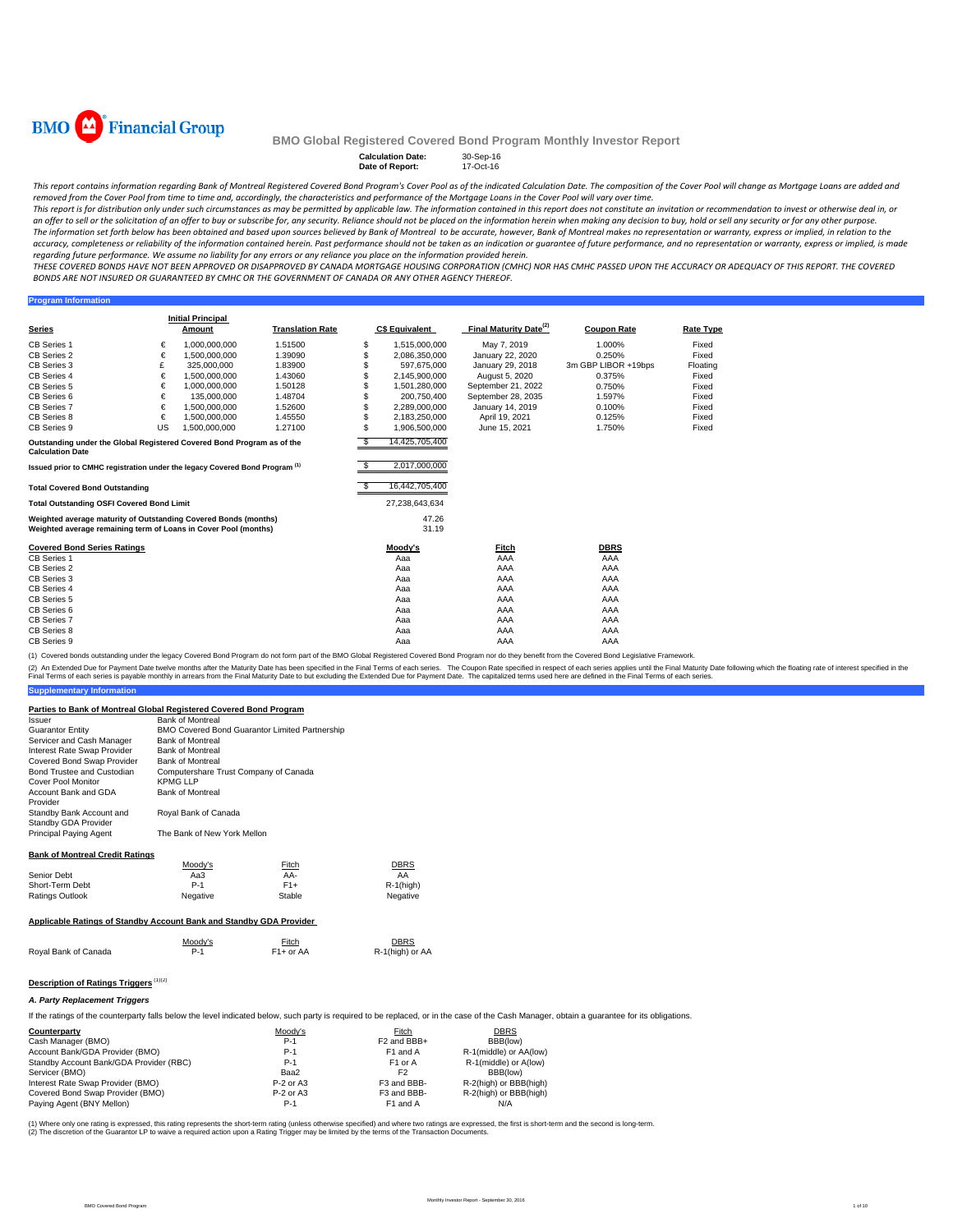

**Program Information**

#### **BMO Global Registered Covered Bond Program Monthly Investor Report**

# **Calculation Date:** 30-Sep-16 **Date of Report:** 17-Oct-16

This report contains information regarding Bank of Montreal Registered Covered Bond Program's Cover Pool as of the indicated Calculation Date. The composition of the Cover Pool will change as Mortgage Loans are added and removed from the Cover Pool from time to time and, accordingly, the characteristics and performance of the Mortgage Loans in the Cover Pool will vary over time.

This report is for distribution only under such circumstances as may be permitted by applicable law. The information contained in this report does not constitute an invitation or recommendation to invest or otherwise deal an offer to sell or the solicitation of an offer to buy or subscribe for, any security. Reliance should not be placed on the information herein when making any decision to buy, hold or sell any security or for any other pu The information set forth below has been obtained and based upon sources believed by Bank of Montreal to be accurate, however, Bank of Montreal makes no representation or warranty, express or implied, in relation to the accuracy, completeness or reliability of the information contained herein. Past performance should not be taken as an indication or guarantee of future performance, and no representation or warranty, express or implied, is regarding future performance. We assume no liability for any errors or any reliance you place on the information provided herein.

THESE COVERED BONDS HAVE NOT BEEN APPROVED OR DISAPPROVED BY CANADA MORTGAGE HOUSING CORPORATION (CMHC) NOR HAS CMHC PASSED UPON THE ACCURACY OR ADEQUACY OF THIS REPORT. THE COVERED BONDS ARE NOT INSURED OR GUARANTEED BY CMHC OR THE GOVERNMENT OF CANADA OR ANY OTHER AGENCY THEREOF.

**Series Initial Principal C\$ Equivalent Final Maturity Date<sup>(2)</sup> Coupon Rate <b>Rate Type** CB Series 1 € 1,000,000,000 1.51500 \$ 1,515,000,000 May 7, 2019 1.000% Fixed CB Series 2 € 1,500,000,000 1.39090 \$ 2,086,350,000 January 22, 2020 0.250% Fixed CB Series 3 
CB 325,000,000 1.83900 
5 597,675,000 January 29, 2018 3m GBP LIBOR +19bps Floating<br>
CB Series 4 
6 1,500,000,000 1.43060 
5 2,145,900,000 August 5, 2020 0.375% Fixed CB Series 4 € 1,500,000,000 1.43060 \$ 2,145,900,000 August 5, 2020 0.375% Fixed CB Series 5 € 1,000,000,000 1.50128 \$ 1,501,280,000 September 21, 2022 0.750% Fixed<br>CB Series 6 € 135,000,000 1.48704 \$ 2,00,750,400 September 28, 2035 1.597% Fixed<br>CB Series 7 € 1.500,000,000 1.52600 \$ 2.289,000,000 Janu CB Series 6 € 135,000,000 1.48704 \$ 200,750,400 September 28, 2035 1.597% Fixed<br>CB Series 7 € 1,500,000,000 1.52600 \$ 2,289,000,000 January 14, 2019 0.100% CB Series 8 € 1,500,000,000 1.45550 \$ 2,183,250,000 April 19, 2021 0.125% Fixed CB Series 9 1.27100 5 1,906,500,000 June 15, 2021 1.750% Fixed \$ 14,425,705,400 \$ 2,017,000,000 **Total Covered Bond Outstanding** \$ 16,442,705,400 **Total Outstanding OSFI Covered Bond Limit** 27,238,643,634 47.26  $31.19$ **Covered Bond Series Ratings Moody's Fitch DBRS** CB Series 1 Aaa AAA AAA CB Series 2 Aaa AAA AAA CB Series 3 Aaa AAA AAA CB Series 4 Aaa AAA AAA CB Series 5 Aaa AAA AAA CB Series 6 Aaa AAA AAA CB Series 7 Aaa AAA AAA CB Series 8 Aaa AAA AAA CB Series 9 Aaa AAA AAA **Translation Rate Outstanding under the Global Registered Covered Bond Program as of the Calculation Date Issued prior to CMHC registration under the legacy Covered Bond Program (1)** US 1,500,000,000 **Weighted average maturity of Outstanding Covered Bonds (months) Weighted average remaining term of Loans in Cover Pool (months)**

(1) Covered bonds outstanding under the legacy Covered Bond Program do not form part of the BMO Global Registered Covered Bond Program nor do they benefit from the Covered Bond Legislative Fram

(2) An Extended Due for Payment Date twelve months after the Maturity Date has been specified in the Final Terms of each series. The Coupon Rate specified in trespect of each series applies provided in the Final Maturity D Final Terms of each series is payable monthly in arrears from the Final Maturity Date to but excluding the Extended Due for Payment Date. The capitalized terms used here are defined in the Final Terms of each series.

#### **Parties to Bank of Montreal Global Registered Covered Bond Program**

| Issuer                                           | <b>Bank of Montreal</b>                        |
|--------------------------------------------------|------------------------------------------------|
| <b>Guarantor Entity</b>                          | BMO Covered Bond Guarantor Limited Partnership |
| Servicer and Cash Manager                        | <b>Bank of Montreal</b>                        |
| Interest Rate Swap Provider                      | <b>Bank of Montreal</b>                        |
| Covered Bond Swap Provider                       | <b>Bank of Montreal</b>                        |
| Bond Trustee and Custodian                       | Computershare Trust Company of Canada          |
| <b>Cover Pool Monitor</b>                        | <b>KPMG LLP</b>                                |
| Account Bank and GDA<br>Provider                 | <b>Bank of Montreal</b>                        |
| Standby Bank Account and<br>Standby GDA Provider | Royal Bank of Canada                           |
| Principal Paying Agent                           | The Bank of New York Mellon                    |

#### **Bank of Montreal Credit Ratings**

**Supplementary Information**

| Moodv's  | Fitch  | <b>DBRS</b>                                                                                                                                                                                                                       |
|----------|--------|-----------------------------------------------------------------------------------------------------------------------------------------------------------------------------------------------------------------------------------|
| АаЗ      | AA-    | AA                                                                                                                                                                                                                                |
| $P-1$    | $F1+$  | $R-1$ (high)                                                                                                                                                                                                                      |
| Negative | Stable | Negative                                                                                                                                                                                                                          |
|          |        |                                                                                                                                                                                                                                   |
|          |        | $\mathbf{r}$ , and the second contract the contract of the contract of the contract of the contract of the contract of the contract of the contract of the contract of the contract of the contract of the contract of the contra |

## **Applicable Ratings of Standby Account Bank and Standby GDA Provider**

| Royal Bank of Canada | Moody's | <b>Fitch</b>           | <b>DBRS</b>     |
|----------------------|---------|------------------------|-----------------|
|                      | $P-1$   | F <sub>1</sub> + or AA | R-1(high) or AA |
|                      |         |                        |                 |

# **Description of Ratings Triggers** (1)(2)

#### *A. Party Replacement Triggers*

If the ratings of the counterparty falls below the level indicated below, such party is required to be replaced, or in the case of the Cash Manager, obtain a quarantee for its obligations.

| Counterparty                            | Moody's     | Fitch                   | <b>DBRS</b>            |
|-----------------------------------------|-------------|-------------------------|------------------------|
| Cash Manager (BMO)                      | $P-1$       | F <sub>2</sub> and BBB+ | BBB(low)               |
| Account Bank/GDA Provider (BMO)         | $P-1$       | F <sub>1</sub> and A    | R-1(middle) or AA(low) |
| Standby Account Bank/GDA Provider (RBC) | $P-1$       | F <sub>1</sub> or A     | R-1(middle) or A(low)  |
| Servicer (BMO)                          | Baa2        | F <sub>2</sub>          | BBB(low)               |
| Interest Rate Swap Provider (BMO)       | $P-2$ or A3 | F3 and BBB-             | R-2(high) or BBB(high) |
| Covered Bond Swap Provider (BMO)        | $P-2$ or A3 | F3 and BBB-             | R-2(high) or BBB(high) |
| Paying Agent (BNY Mellon)               | $P-1$       | F <sub>1</sub> and A    | N/A                    |

(1) Where only one rating is expressed, this rating represents the short-term rating (unless otherwise specified) and where two ratings are expressed, the first is short-term and the second is long-term.<br>(2) The discretion required action upon a Rating Trigger may be limited by the terms of the Transaction upon a Rating Trigger may be limited by the terms of the Transaction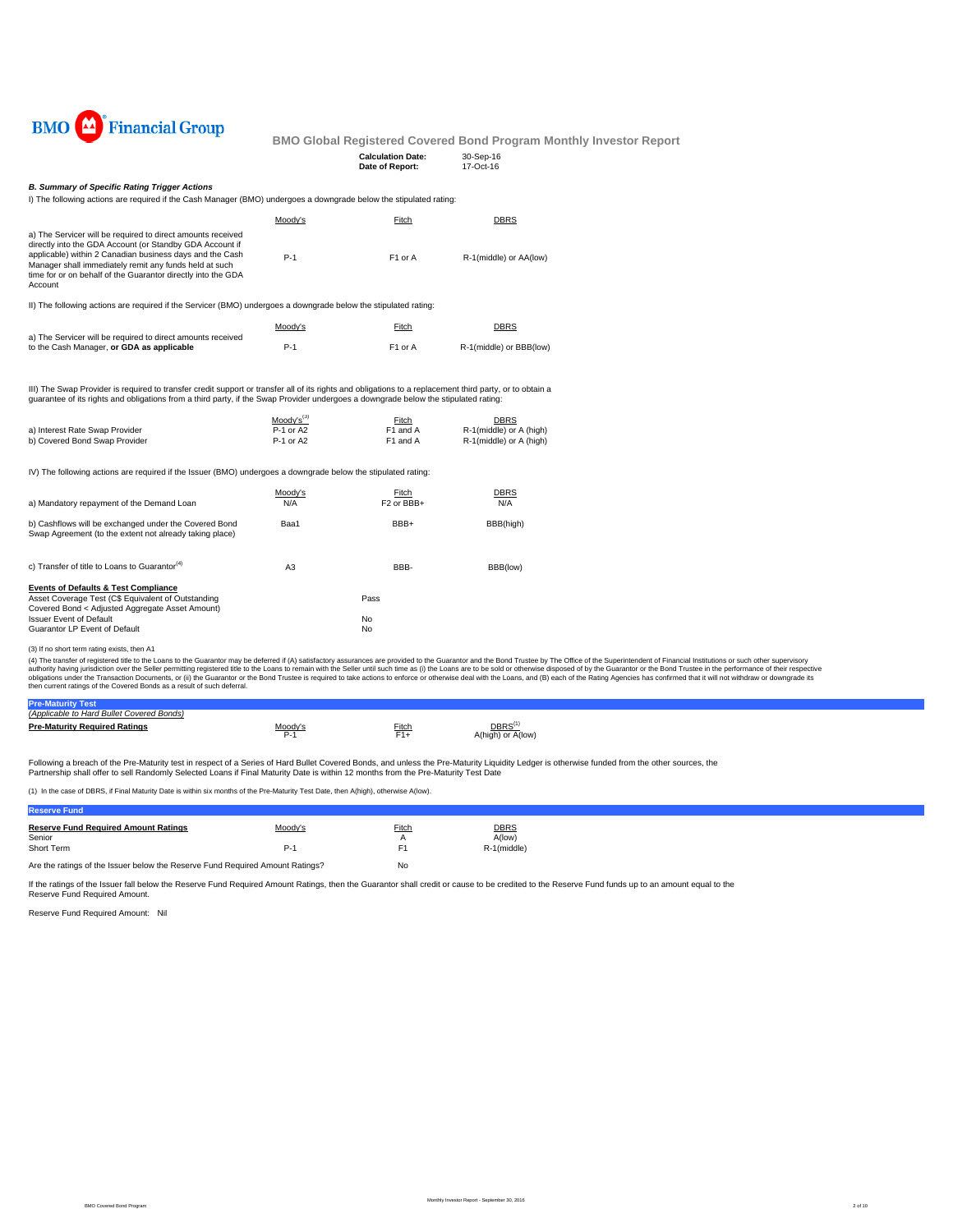

| <b>Calculation Date:</b> | 30-Sep-16     |
|--------------------------|---------------|
| Date of Report:          | $17 - Oct-16$ |
|                          |               |

## *B. Summary of Specific Rating Trigger Actions*

I) The following actions are required if the Cash Manager (BMO) undergoes a downgrade below the stipulated rating:

|                                                                                                                                                                                                                                                                                                                                                                                              | Moody's                | Fitch                           | <b>DBRS</b>                                        |
|----------------------------------------------------------------------------------------------------------------------------------------------------------------------------------------------------------------------------------------------------------------------------------------------------------------------------------------------------------------------------------------------|------------------------|---------------------------------|----------------------------------------------------|
| a) The Servicer will be required to direct amounts received<br>directly into the GDA Account (or Standby GDA Account if<br>applicable) within 2 Canadian business days and the Cash<br>Manager shall immediately remit any funds held at such<br>time for or on behalf of the Guarantor directly into the GDA<br>Account                                                                     | $P-1$                  | F1 or A                         | R-1(middle) or AA(low)                             |
| II) The following actions are required if the Servicer (BMO) undergoes a downgrade below the stipulated rating:                                                                                                                                                                                                                                                                              |                        |                                 |                                                    |
|                                                                                                                                                                                                                                                                                                                                                                                              | Moody's                | Fitch                           | <b>DBRS</b>                                        |
| a) The Servicer will be required to direct amounts received<br>to the Cash Manager, or GDA as applicable                                                                                                                                                                                                                                                                                     | $P-1$                  | F1 or A                         | R-1(middle) or BBB(low)                            |
| III) The Swap Provider is required to transfer credit support or transfer all of its rights and obligations to a replacement third party, or to obtain a<br>quarantee of its rights and obligations from a third party, if the Swap Provider undergoes a downgrade below the stipulated rating:                                                                                              |                        |                                 |                                                    |
|                                                                                                                                                                                                                                                                                                                                                                                              | $Mody's^{(3)}$         | Fitch                           | <b>DBRS</b>                                        |
| a) Interest Rate Swap Provider<br>b) Covered Bond Swap Provider                                                                                                                                                                                                                                                                                                                              | P-1 or A2<br>P-1 or A2 | F1 and A<br>F1 and A            | R-1(middle) or A (high)<br>R-1(middle) or A (high) |
| IV) The following actions are required if the Issuer (BMO) undergoes a downgrade below the stipulated rating:                                                                                                                                                                                                                                                                                |                        |                                 |                                                    |
| a) Mandatory repayment of the Demand Loan                                                                                                                                                                                                                                                                                                                                                    | Moody's<br>N/A         | Fitch<br>F <sub>2</sub> or BBB+ | DBRS<br>N/A                                        |
| b) Cashflows will be exchanged under the Covered Bond<br>Swap Agreement (to the extent not already taking place)                                                                                                                                                                                                                                                                             | Baa1                   | BBB+                            | BBB(high)                                          |
| c) Transfer of title to Loans to Guarantor <sup>(4)</sup>                                                                                                                                                                                                                                                                                                                                    | A <sub>3</sub>         | BBB-                            | BBB(low)                                           |
| <b>Events of Defaults &amp; Test Compliance</b>                                                                                                                                                                                                                                                                                                                                              |                        |                                 |                                                    |
| Asset Coverage Test (C\$ Equivalent of Outstanding<br>Covered Bond < Adjusted Aggregate Asset Amount)                                                                                                                                                                                                                                                                                        |                        | Pass                            |                                                    |
| <b>Issuer Event of Default</b>                                                                                                                                                                                                                                                                                                                                                               |                        | No                              |                                                    |
| Guarantor LP Event of Default                                                                                                                                                                                                                                                                                                                                                                |                        | No                              |                                                    |
| (3) If no short term rating exists, then A1                                                                                                                                                                                                                                                                                                                                                  |                        |                                 |                                                    |
| (4) The transfer of registered title to the Loans to the Guarantor may be deferred if (A) satisfactory assurances are provided to the Guarantor and the Bond Trustee by The Office of the<br>authority having jurisdiction over the Seller permitting registered title to the Loans to remain with the Seller until such time as (i) the Loans are to be sold or otherwise disposed of by th |                        |                                 |                                                    |

(3) If no short term rating exists, then A1<br>(4) The transfer of registered title to the Lalans to the Guarantor may be deferred if (A) satisfactory assurances are provided to the Guarantor and the Bond Trustee by The Offic

| (Applicable to Hard Bullet Covered Bonds) |             |       |                                         |  |
|-------------------------------------------|-------------|-------|-----------------------------------------|--|
| <b>Pre-Maturity Required Ratings</b>      | المصص<br>∼. | Fitch | DBRS <sup>(1</sup><br>A(high) or A(low) |  |

Following a breach of the Pre-Maturity test in respect of a Series of Hard Bullet Covered Bonds, and unless the Pre-Maturity Liquidity Ledger is otherwise funded from the other sources, the<br>Partnership shall offer to sell

(1) In the case of DBRS, if Final Maturity Date is within six months of the Pre-Maturity Test Date, then A(high), otherwise A(low).

| <b>Reserve Fund</b>                                                           |         |       |                       |
|-------------------------------------------------------------------------------|---------|-------|-----------------------|
| <b>Reserve Fund Required Amount Ratings</b><br>Senior                         | Moody's | Fitch | <b>DBRS</b><br>A(low) |
| Short Term                                                                    | P-1     | F1    | R-1(middle)           |
| Are the ratings of the Issuer below the Reserve Fund Required Amount Ratings? |         | No    |                       |

If the ratings of the Issuer fall below the Reserve Fund Required Amount Ratings, then the Guarantor shall credit or cause to be credited to the Reserve Fund funds up to an amount equal to the Reserve Fund Required Amount.

Reserve Fund Required Amount: Nil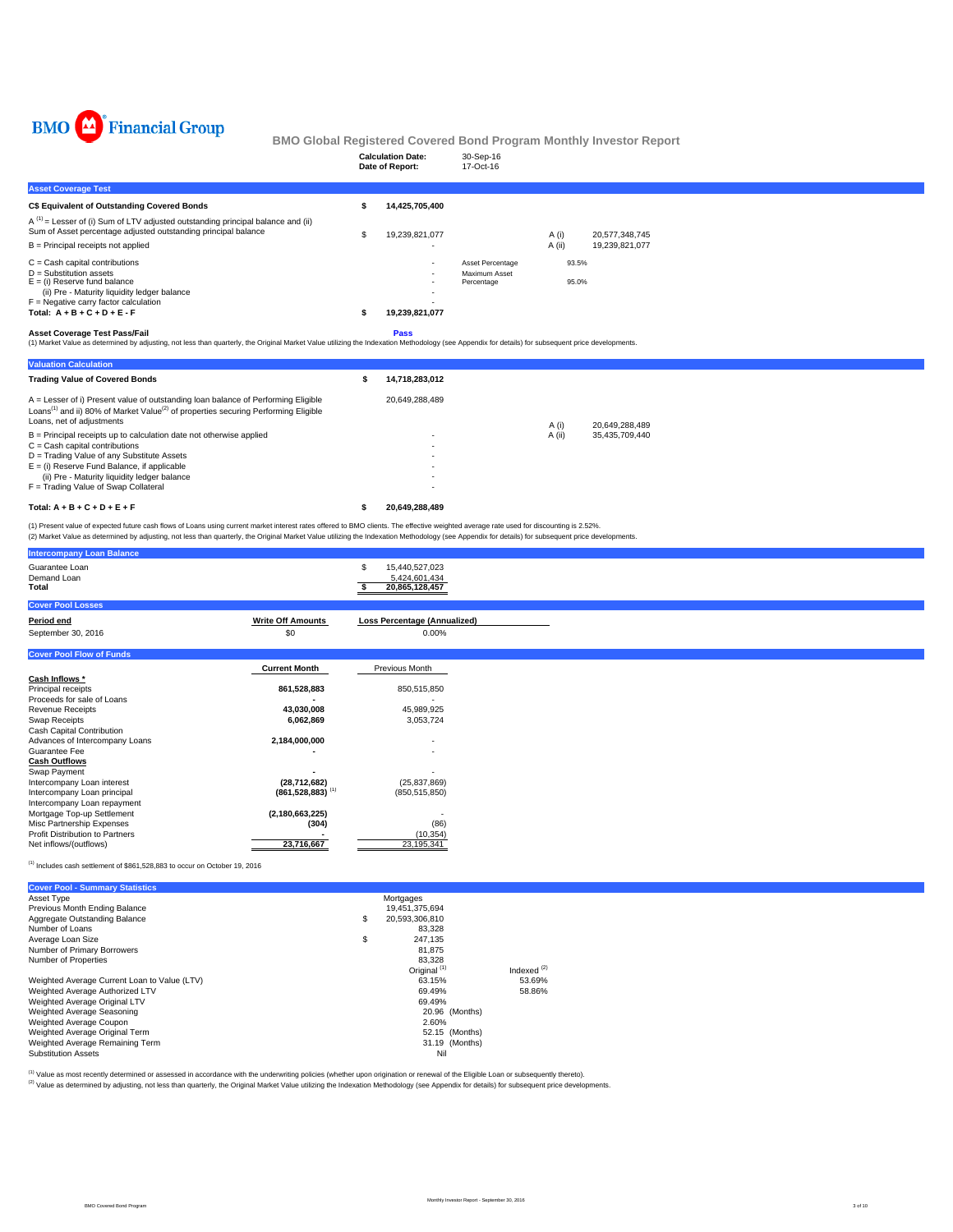

|                                                                                                                                                                                                                                                                                                                                                                                               |         | <b>Calculation Date:</b><br>Date of Report:       | 30-Sep-16<br>17-Oct-16                          |                |                |  |  |
|-----------------------------------------------------------------------------------------------------------------------------------------------------------------------------------------------------------------------------------------------------------------------------------------------------------------------------------------------------------------------------------------------|---------|---------------------------------------------------|-------------------------------------------------|----------------|----------------|--|--|
| <b>Asset Coverage Test</b>                                                                                                                                                                                                                                                                                                                                                                    |         |                                                   |                                                 |                |                |  |  |
| <b>C\$ Equivalent of Outstanding Covered Bonds</b>                                                                                                                                                                                                                                                                                                                                            |         | 14,425,705,400                                    |                                                 |                |                |  |  |
| $A^{(1)}$ = Lesser of (i) Sum of LTV adjusted outstanding principal balance and (ii)<br>Sum of Asset percentage adjusted outstanding principal balance                                                                                                                                                                                                                                        | \$      | 19,239,821,077                                    |                                                 | A(i)           | 20,577,348,745 |  |  |
| $B =$ Principal receipts not applied                                                                                                                                                                                                                                                                                                                                                          |         |                                                   |                                                 | A (ii)         | 19,239,821,077 |  |  |
| $C =$ Cash capital contributions<br>$D =$ Substitution assets<br>$E = (i)$ Reserve fund balance<br>(ii) Pre - Maturity liquidity ledger balance<br>$F =$ Negative carry factor calculation<br>Total: $A + B + C + D + E - F$                                                                                                                                                                  |         | 19,239,821,077                                    | Asset Percentage<br>Maximum Asset<br>Percentage | 93.5%<br>95.0% |                |  |  |
| <b>Asset Coverage Test Pass/Fail</b><br>(1) Market Value as determined by adjusting, not less than quarterly, the Original Market Value utilizing the Indexation Methodology (see Appendix for details) for subsequent price developments.                                                                                                                                                    |         | Pass                                              |                                                 |                |                |  |  |
| <b>Valuation Calculation</b>                                                                                                                                                                                                                                                                                                                                                                  |         |                                                   |                                                 |                |                |  |  |
| <b>Trading Value of Covered Bonds</b>                                                                                                                                                                                                                                                                                                                                                         | \$      | 14,718,283,012                                    |                                                 |                |                |  |  |
| A = Lesser of i) Present value of outstanding loan balance of Performing Eligible<br>Loans <sup>(1)</sup> and ii) 80% of Market Value <sup>(2)</sup> of properties securing Performing Eligible<br>Loans, net of adjustments                                                                                                                                                                  |         | 20,649,288,489                                    |                                                 | A(i)           | 20,649,288,489 |  |  |
| $B =$ Principal receipts up to calculation date not otherwise applied<br>$C = Cash$ capital contributions<br>D = Trading Value of any Substitute Assets<br>$E =$ (i) Reserve Fund Balance, if applicable<br>(ii) Pre - Maturity liquidity ledger balance<br>F = Trading Value of Swap Collateral                                                                                              |         |                                                   |                                                 | A (ii)         | 35,435,709,440 |  |  |
| Total: $A + B + C + D + E + F$                                                                                                                                                                                                                                                                                                                                                                | s       | 20,649,288,489                                    |                                                 |                |                |  |  |
| (1) Present value of expected future cash flows of Loans using current market interest rates offered to BMO clients. The effective weighted average rate used for discounting is 2.52%.<br>(2) Market Value as determined by adjusting, not less than quarterly, the Original Market Value utilizing the Indexation Methodology (see Appendix for details) for subsequent price developments. |         |                                                   |                                                 |                |                |  |  |
| <b>Intercompany Loan Balance</b>                                                                                                                                                                                                                                                                                                                                                              |         |                                                   |                                                 |                |                |  |  |
| Guarantee Loan<br>Demand Loan<br>Total                                                                                                                                                                                                                                                                                                                                                        | S<br>s. | 15,440,527,023<br>5,424,601,434<br>20.865.128.457 |                                                 |                |                |  |  |

|                          | 5,424,601,434<br>20,865,128,457                                 |
|--------------------------|-----------------------------------------------------------------|
|                          |                                                                 |
| <b>Write Off Amounts</b> | Loss Percentage (Annualized)                                    |
| \$0                      | 0.00%                                                           |
|                          |                                                                 |
| <b>Current Month</b>     | Previous Month                                                  |
|                          |                                                                 |
| 861,528,883              | 850,515,850                                                     |
|                          |                                                                 |
| 43,030,008               | 45,989,925                                                      |
| 6,062,869                | 3,053,724                                                       |
|                          |                                                                 |
| 2,184,000,000            |                                                                 |
|                          | ٠                                                               |
|                          |                                                                 |
|                          |                                                                 |
| (28, 712, 682)           | (25, 837, 869)                                                  |
|                          | (850, 515, 850)                                                 |
|                          |                                                                 |
|                          |                                                                 |
|                          | (86)                                                            |
|                          | (10, 354)                                                       |
| 23,716,667               | 23,195,341                                                      |
|                          |                                                                 |
|                          | $(861, 528, 883)$ <sup>(1)</sup><br>(2, 180, 663, 225)<br>(304) |

 $<sup>(1)</sup>$  Includes cash settlement of \$861,528,883 to occur on October 19, 2016</sup>

| <b>Cover Pool - Summary Statistics</b>       |                         |               |
|----------------------------------------------|-------------------------|---------------|
| Asset Type                                   | Mortgages               |               |
| Previous Month Ending Balance                | 19,451,375,694          |               |
| Aggregate Outstanding Balance                | \$<br>20.593.306.810    |               |
| Number of Loans                              | 83.328                  |               |
| Average Loan Size                            | \$<br>247.135           |               |
| Number of Primary Borrowers                  | 81.875                  |               |
| Number of Properties                         | 83.328                  |               |
|                                              | Original <sup>(1)</sup> | Indexed $(2)$ |
| Weighted Average Current Loan to Value (LTV) | 63.15%                  | 53.69%        |
| Weighted Average Authorized LTV              | 69.49%                  | 58.86%        |
| Weighted Average Original LTV                | 69.49%                  |               |
| Weighted Average Seasoning                   | 20.96 (Months)          |               |
| Weighted Average Coupon                      | 2.60%                   |               |
| Weighted Average Original Term               | 52.15 (Months)          |               |
| Weighted Average Remaining Term              | 31.19 (Months)          |               |
| <b>Substitution Assets</b>                   | Nil                     |               |

<sup>(t)</sup> Value as most recently determined or assessed in accordance with the underwriting policies (whether upon origination or renewal of the Eligible Loan or subsequently thereto).<br><sup>(2)</sup> Value as determined by adjusting, n

BMO Covered Bond Program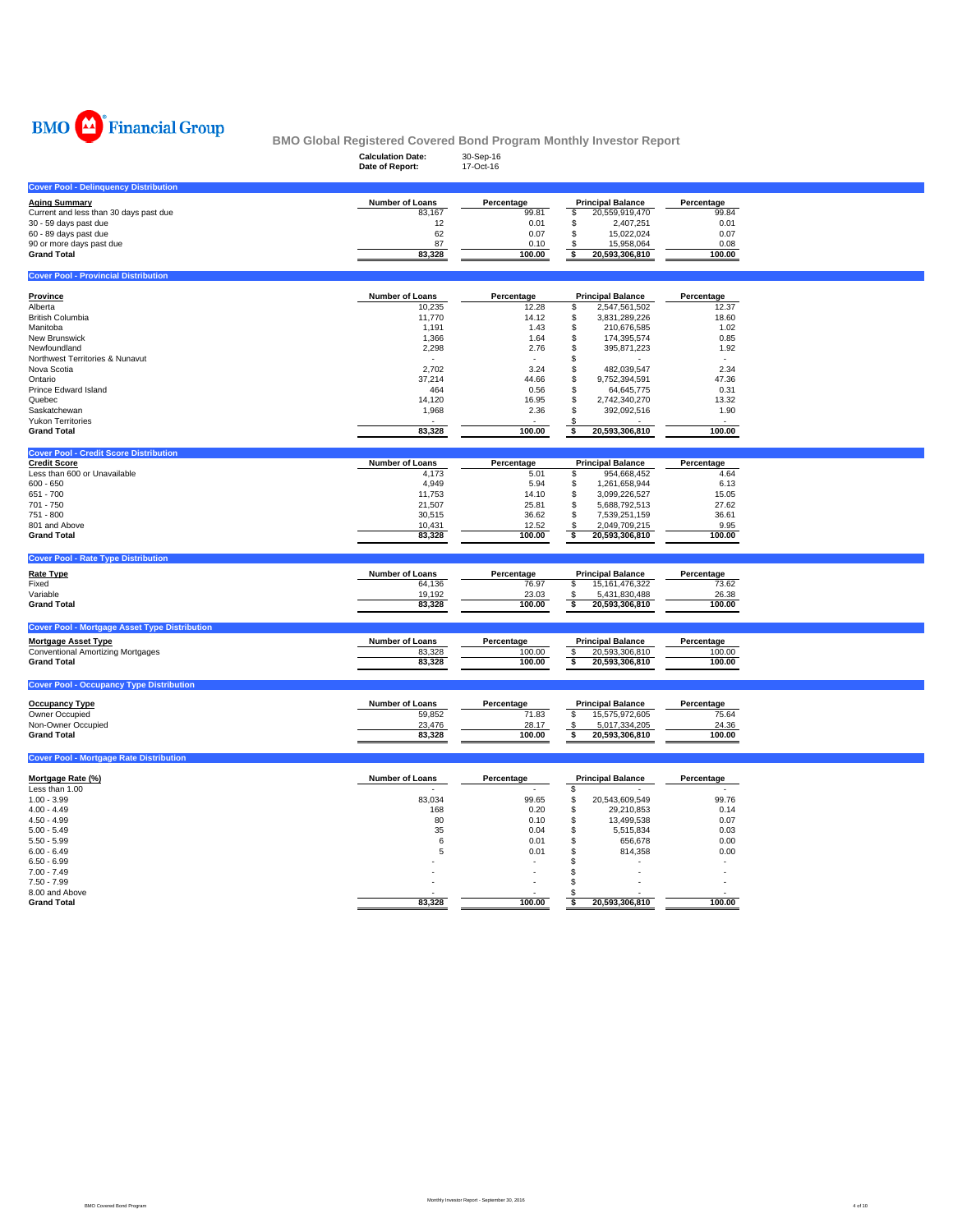

|                                                                      | <b>Calculation Date:</b><br>Date of Report: | 30-Sep-16<br>17-Oct-16 |                                                     |                     |  |
|----------------------------------------------------------------------|---------------------------------------------|------------------------|-----------------------------------------------------|---------------------|--|
| <b>Cover Pool - Delinquency Distribution</b>                         |                                             |                        |                                                     |                     |  |
| <b>Aging Summary</b>                                                 | Number of Loans                             | Percentage             | <b>Principal Balance</b>                            | Percentage          |  |
| Current and less than 30 days past due                               | 83,167                                      | 99.81                  | \$<br>20,559,919,470                                | 99.84               |  |
| 30 - 59 days past due                                                | 12                                          | 0.01                   | \$<br>2,407,251                                     | 0.01                |  |
| 60 - 89 days past due                                                | 62                                          | 0.07                   | \$<br>15,022,024                                    | 0.07                |  |
| 90 or more days past due                                             | 87                                          | 0.10                   | \$<br>15,958,064                                    | 0.08                |  |
| <b>Grand Total</b>                                                   | 83,328                                      | 100.00                 | 20,593,306,810<br>\$                                | 100.00              |  |
| <b>Cover Pool - Provincial Distribution</b>                          |                                             |                        |                                                     |                     |  |
|                                                                      |                                             |                        |                                                     |                     |  |
| <b>Province</b><br>Alberta                                           | Number of Loans<br>10,235                   | Percentage<br>12.28    | <b>Principal Balance</b><br>2,547,561,502<br>\$     | Percentage<br>12.37 |  |
| <b>British Columbia</b>                                              | 11,770                                      | 14.12                  | \$<br>3,831,289,226                                 | 18.60               |  |
| Manitoba                                                             | 1,191                                       | 1.43                   | \$<br>210,676,585                                   | 1.02                |  |
| New Brunswick                                                        | 1,366                                       | 1.64                   | \$<br>174,395,574                                   | 0.85                |  |
| Newfoundland                                                         | 2,298                                       | 2.76                   | \$<br>395,871,223                                   | 1.92                |  |
| Northwest Territories & Nunavut                                      |                                             |                        | \$                                                  |                     |  |
| Nova Scotia                                                          | 2,702                                       | 3.24                   | \$<br>482,039,547                                   | 2.34                |  |
| Ontario                                                              | 37,214                                      | 44.66                  | \$<br>9,752,394,591                                 | 47.36               |  |
| Prince Edward Island                                                 | 464                                         | 0.56                   | \$<br>64,645,775                                    | 0.31                |  |
| Quebec                                                               | 14,120                                      | 16.95                  | \$<br>2,742,340,270                                 | 13.32               |  |
| Saskatchewan                                                         | 1,968                                       | 2.36                   | \$<br>392,092,516                                   | 1.90                |  |
| <b>Yukon Territories</b>                                             |                                             |                        |                                                     |                     |  |
| <b>Grand Total</b>                                                   | 83,328                                      | 100.00                 | \$<br>20,593,306,810                                | 100.00              |  |
|                                                                      |                                             |                        |                                                     |                     |  |
| <b>Cover Pool - Credit Score Distribution</b><br><b>Credit Score</b> | Number of Loans                             | Percentage             | <b>Principal Balance</b>                            | Percentage          |  |
| Less than 600 or Unavailable                                         | 4,173                                       | 5.01                   | 954,668,452<br>\$                                   | 4.64                |  |
| $600 - 650$                                                          | 4,949                                       | 5.94                   | \$<br>1,261,658,944                                 | 6.13                |  |
| 651 - 700                                                            | 11,753                                      | 14.10                  | \$<br>3,099,226,527                                 | 15.05               |  |
| 701 - 750                                                            | 21,507                                      | 25.81                  | \$<br>5,688,792,513                                 | 27.62               |  |
| 751 - 800                                                            | 30,515                                      | 36.62                  | \$<br>7,539,251,159                                 | 36.61               |  |
| 801 and Above                                                        | 10,431                                      | 12.52                  | 2,049,709,215<br>S                                  | 9.95                |  |
|                                                                      |                                             |                        |                                                     |                     |  |
| <b>Grand Total</b>                                                   | 83,328                                      | 100.00                 | $\overline{\bullet}$<br>20,593,306,810              | 100.00              |  |
|                                                                      |                                             |                        |                                                     |                     |  |
| <b>Cover Pool - Rate Type Distribution</b>                           |                                             |                        |                                                     |                     |  |
| <b>Rate Type</b>                                                     | Number of Loans                             | Percentage             | <b>Principal Balance</b>                            | Percentage          |  |
| Fixed                                                                | 64,136                                      | 76.97                  | 15, 161, 476, 322<br>\$                             | 73.62               |  |
| Variable                                                             | 19,192                                      | 23.03                  | 5,431,830,488<br>\$                                 | 26.38               |  |
| <b>Grand Total</b>                                                   | 83,328                                      | 100.00                 | 20,593,306,810<br>\$                                | 100.00              |  |
| <b>Cover Pool - Mortgage Asset Type Distribution</b>                 |                                             |                        |                                                     |                     |  |
|                                                                      |                                             |                        |                                                     |                     |  |
| <b>Mortgage Asset Type</b>                                           | Number of Loans                             | Percentage             | <b>Principal Balance</b>                            | Percentage          |  |
| <b>Conventional Amortizing Mortgages</b><br><b>Grand Total</b>       | 83,328<br>83,328                            | 100.00<br>100.00       | $\sqrt{3}$<br>20,593,306,810<br>s<br>20,593,306,810 | 100.00<br>100.00    |  |
|                                                                      |                                             |                        |                                                     |                     |  |
| <b>Cover Pool - Occupancy Type Distribution</b>                      |                                             |                        |                                                     |                     |  |
|                                                                      |                                             |                        |                                                     |                     |  |
| <b>Occupancy Type</b>                                                | Number of Loans                             | Percentage             | <b>Principal Balance</b>                            | Percentage          |  |
| Owner Occupied                                                       | 59,852                                      | 71.83                  | \$<br>15,575,972,605                                | 75.64               |  |
| Non-Owner Occupied<br><b>Grand Total</b>                             | 23,476<br>83,328                            | 28.17<br>100.00        | - \$<br>5,017,334,205<br>\$<br>20,593,306,810       | 24.36<br>100.00     |  |
|                                                                      |                                             |                        |                                                     |                     |  |
| <b>Cover Pool - Mortgage Rate Distribution</b>                       |                                             |                        |                                                     |                     |  |
| Mortgage Rate (%)                                                    | Number of Loans                             | Percentage             | <b>Principal Balance</b>                            | Percentage          |  |
| Less than 1.00                                                       |                                             |                        | \$                                                  |                     |  |
| $1.00 - 3.99$                                                        | 83,034                                      | 99.65                  | \$<br>20,543,609,549                                | 99.76               |  |
| $4.00 - 4.49$                                                        | 168                                         | 0.20                   | \$<br>29,210,853                                    | 0.14                |  |
| $4.50 - 4.99$                                                        | 80                                          | 0.10                   | \$<br>13,499,538                                    | 0.07                |  |
| $5.00 - 5.49$                                                        | 35                                          | 0.04                   | \$<br>5,515,834                                     | 0.03                |  |
| $5.50 - 5.99$                                                        | 6                                           | 0.01                   | \$<br>656.678                                       | 0.00                |  |
| $6.00 - 6.49$                                                        | 5                                           | 0.01                   | \$<br>814,358                                       | 0.00                |  |
| $6.50 - 6.99$                                                        |                                             |                        | \$.                                                 |                     |  |
| $7.00 - 7.49$                                                        |                                             |                        | \$                                                  |                     |  |
| $7.50 - 7.99$                                                        |                                             |                        | \$                                                  |                     |  |
| 8.00 and Above<br><b>Grand Total</b>                                 | 83,328                                      | 100.00                 | Ŝ.<br>20,593,306,810<br>\$                          | 100.00              |  |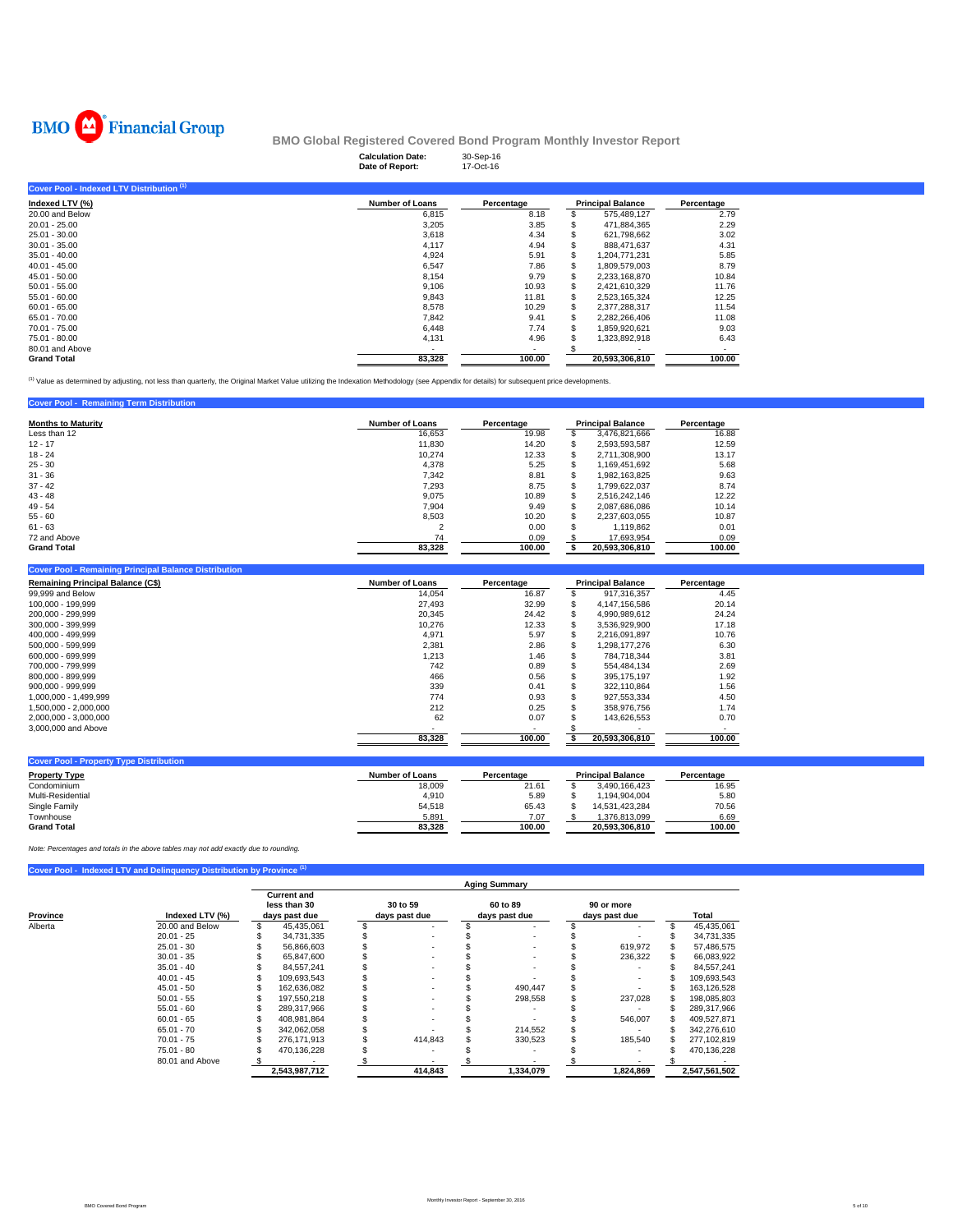

|                                           | <b>Calculation Date:</b><br>Date of Report: | 30-Sep-16<br>17-Oct-16 |     |                          |            |  |  |  |  |  |  |  |  |
|-------------------------------------------|---------------------------------------------|------------------------|-----|--------------------------|------------|--|--|--|--|--|--|--|--|
| Cover Pool - Indexed LTV Distribution (1) |                                             |                        |     |                          |            |  |  |  |  |  |  |  |  |
| Indexed LTV (%)                           | <b>Number of Loans</b>                      | Percentage             |     | <b>Principal Balance</b> | Percentage |  |  |  |  |  |  |  |  |
| 20.00 and Below                           | 6,815                                       | 8.18                   |     | 575,489,127              | 2.79       |  |  |  |  |  |  |  |  |
| $20.01 - 25.00$                           | 3,205                                       | 3.85                   |     | 471,884,365              | 2.29       |  |  |  |  |  |  |  |  |
| 25.01 - 30.00                             | 3,618                                       | 4.34                   |     | 621,798,662              | 3.02       |  |  |  |  |  |  |  |  |
| $30.01 - 35.00$                           | 4,117                                       | 4.94                   |     | 888,471,637              | 4.31       |  |  |  |  |  |  |  |  |
| $35.01 - 40.00$                           | 4,924                                       | 5.91                   | S   | 1,204,771,231            | 5.85       |  |  |  |  |  |  |  |  |
| $40.01 - 45.00$                           | 6,547                                       | 7.86                   | S   | 1,809,579,003            | 8.79       |  |  |  |  |  |  |  |  |
| $45.01 - 50.00$                           | 8,154                                       | 9.79                   | S   | 2,233,168,870            | 10.84      |  |  |  |  |  |  |  |  |
| $50.01 - 55.00$                           | 9.106                                       | 10.93                  |     | 2.421.610.329            | 11.76      |  |  |  |  |  |  |  |  |
| $55.01 - 60.00$                           | 9,843                                       | 11.81                  | эs. | 2,523,165,324            | 12.25      |  |  |  |  |  |  |  |  |
| $60.01 - 65.00$                           | 8,578                                       | 10.29                  | S   | 2,377,288,317            | 11.54      |  |  |  |  |  |  |  |  |
| 65.01 - 70.00                             | 7,842                                       | 9.41                   | S   | 2,282,266,406            | 11.08      |  |  |  |  |  |  |  |  |
| 70.01 - 75.00                             | 6,448                                       | 7.74                   |     | 1,859,920,621            | 9.03       |  |  |  |  |  |  |  |  |
| 75.01 - 80.00                             | 4,131                                       | 4.96                   |     | 1,323,892,918            | 6.43       |  |  |  |  |  |  |  |  |
| 80.01 and Above                           |                                             |                        |     |                          |            |  |  |  |  |  |  |  |  |
| <b>Grand Total</b>                        | 83,328                                      | 100.00                 |     | 20,593,306,810           | 100.00     |  |  |  |  |  |  |  |  |

<sup>(1)</sup> Value as determined by adjusting, not less than quarterly, the Original Market Value utilizing the Indexation Methodology (see Appendix for details) for subsequent price developments.

## **Cover Pool - Remaining Term Distribution**

| <b>Months to Maturity</b> | <b>Number of Loans</b> | Percentage |     | <b>Principal Balance</b> | Percentage |  |  |
|---------------------------|------------------------|------------|-----|--------------------------|------------|--|--|
| Less than 12              | 16,653                 | 19.98      | э   | 3,476,821,666            | 16.88      |  |  |
| $12 - 17$                 | 11,830                 | 14.20      | ъ   | 2,593,593,587            | 12.59      |  |  |
| $18 - 24$                 | 10.274                 | 12.33      | S   | 2,711,308,900            | 13.17      |  |  |
| $25 - 30$                 | 4.378                  | 5.25       | ъ   | 1,169,451,692            | 5.68       |  |  |
| $31 - 36$                 | 7,342                  | 8.81       | Ф   | 1,982,163,825            | 9.63       |  |  |
| $37 - 42$                 | 7,293                  | 8.75       | э   | 1.799.622.037            | 8.74       |  |  |
| $43 - 48$                 | 9,075                  | 10.89      |     | 2,516,242,146            | 12.22      |  |  |
| $49 - 54$                 | 7.904                  | 9.49       | \$. | 2,087,686,086            | 10.14      |  |  |
| $55 - 60$                 | 8.503                  | 10.20      | S   | 2,237,603,055            | 10.87      |  |  |
| $61 - 63$                 |                        | 0.00       | э   | 1,119,862                | 0.01       |  |  |
| 72 and Above              | 74                     | 0.09       |     | 17,693,954               | 0.09       |  |  |
| <b>Grand Total</b>        | 83.328                 | 100.00     |     | 20.593.306.810           | 100.00     |  |  |

#### **Cover Pool - Remaining Principal Balance Distribution**

| <b>Remaining Principal Balance (C\$)</b> | <b>Number of Loans</b> | Percentage |   | <b>Principal Balance</b> | Percentage |  |  |
|------------------------------------------|------------------------|------------|---|--------------------------|------------|--|--|
| 99,999 and Below                         | 14.054                 | 16.87      |   | 917.316.357              | 4.45       |  |  |
| 100.000 - 199.999                        | 27.493                 | 32.99      |   | 4.147.156.586            | 20.14      |  |  |
| 200.000 - 299.999                        | 20,345                 | 24.42      |   | 4.990.989.612            | 24.24      |  |  |
| 300.000 - 399.999                        | 10,276                 | 12.33      |   | 3.536.929.900            | 17.18      |  |  |
| 400.000 - 499.999                        | 4.971                  | 5.97       | ь | 2.216.091.897            | 10.76      |  |  |
| 500.000 - 599.999                        | 2.381                  | 2.86       |   | 1.298.177.276            | 6.30       |  |  |
| 600.000 - 699.999                        | 1,213                  | 1.46       |   | 784.718.344              | 3.81       |  |  |
| 700.000 - 799.999                        | 742                    | 0.89       |   | 554.484.134              | 2.69       |  |  |
| 800.000 - 899.999                        | 466                    | 0.56       |   | 395.175.197              | 1.92       |  |  |
| 900.000 - 999.999                        | 339                    | 0.41       |   | 322.110.864              | 1.56       |  |  |
| 1.000.000 - 1.499.999                    | 774                    | 0.93       |   | 927.553.334              | 4.50       |  |  |
| 1.500.000 - 2.000.000                    | 212                    | 0.25       |   | 358.976.756              | 1.74       |  |  |
| 2.000.000 - 3.000.000                    | 62                     | 0.07       |   | 143.626.553              | 0.70       |  |  |
| 3,000,000 and Above                      |                        |            |   |                          |            |  |  |
|                                          | 83,328                 | 100.00     |   | 20.593.306.810           | 100.00     |  |  |

| <b>Cover Pool - Property Type Distribution</b> |                 |            |  |                          |            |  |  |  |  |  |  |  |  |
|------------------------------------------------|-----------------|------------|--|--------------------------|------------|--|--|--|--|--|--|--|--|
| <b>Property Type</b>                           | Number of Loans | Percentage |  | <b>Principal Balance</b> | Percentage |  |  |  |  |  |  |  |  |
| Condominium                                    | 18.009          | 21.61      |  | 3.490.166.423            | 16.95      |  |  |  |  |  |  |  |  |
| Multi-Residential                              | 4.910           | 5.89       |  | 1.194.904.004            | 5.80       |  |  |  |  |  |  |  |  |
| Single Family                                  | 54.518          | 65.43      |  | 14.531.423.284           | 70.56      |  |  |  |  |  |  |  |  |
| Townhouse                                      | 5.891           | 7.07       |  | 1.376.813.099            | 6.69       |  |  |  |  |  |  |  |  |
| <b>Grand Total</b>                             | 83.328          | 100.00     |  | 20.593.306.810           | 100.00     |  |  |  |  |  |  |  |  |

*Note: Percentages and totals in the above tables may not add exactly due to rounding.*

## **Cover Pool - Indexed LTV and Delinquency Distribution by Provin**

|          |                 | <b>Aging Summary</b>                                |               |                           |         |                           |           |  |                             |  |               |  |  |
|----------|-----------------|-----------------------------------------------------|---------------|---------------------------|---------|---------------------------|-----------|--|-----------------------------|--|---------------|--|--|
| Province | Indexed LTV (%) | <b>Current and</b><br>less than 30<br>days past due |               | 30 to 59<br>days past due |         | 60 to 89<br>days past due |           |  | 90 or more<br>days past due |  | Total         |  |  |
| Alberta  | 20.00 and Below |                                                     | 45.435.061    |                           |         |                           |           |  |                             |  | 45,435,061    |  |  |
|          | $20.01 - 25$    |                                                     | 34.731.335    |                           |         |                           |           |  |                             |  | 34.731.335    |  |  |
|          | $25.01 - 30$    |                                                     | 56.866.603    |                           |         |                           |           |  | 619,972                     |  | 57.486.575    |  |  |
|          | $30.01 - 35$    |                                                     | 65.847.600    |                           |         |                           |           |  | 236,322                     |  | 66,083,922    |  |  |
|          | $35.01 - 40$    |                                                     | 84.557.241    |                           |         |                           |           |  |                             |  | 84.557.241    |  |  |
|          | $40.01 - 45$    |                                                     | 109.693.543   |                           |         |                           |           |  | ٠                           |  | 109,693,543   |  |  |
|          | $45.01 - 50$    |                                                     | 162.636.082   |                           |         |                           | 490.447   |  |                             |  | 163,126,528   |  |  |
|          | $50.01 - 55$    |                                                     | 197.550.218   |                           |         |                           | 298,558   |  | 237.028                     |  | 198,085,803   |  |  |
|          | $55.01 - 60$    |                                                     | 289.317.966   |                           |         |                           |           |  |                             |  | 289.317.966   |  |  |
|          | $60.01 - 65$    |                                                     | 408,981,864   |                           |         |                           |           |  | 546,007                     |  | 409,527,871   |  |  |
|          | $65.01 - 70$    |                                                     | 342,062,058   |                           |         |                           | 214,552   |  |                             |  | 342,276,610   |  |  |
|          | $70.01 - 75$    |                                                     | 276.171.913   |                           | 414.843 |                           | 330.523   |  | 185.540                     |  | 277.102.819   |  |  |
|          | $75.01 - 80$    |                                                     | 470.136.228   |                           |         |                           |           |  |                             |  | 470.136.228   |  |  |
|          | 80.01 and Above |                                                     |               |                           |         |                           |           |  |                             |  |               |  |  |
|          |                 |                                                     | 2,543,987,712 |                           | 414,843 |                           | 1,334,079 |  | 1,824,869                   |  | 2,547,561,502 |  |  |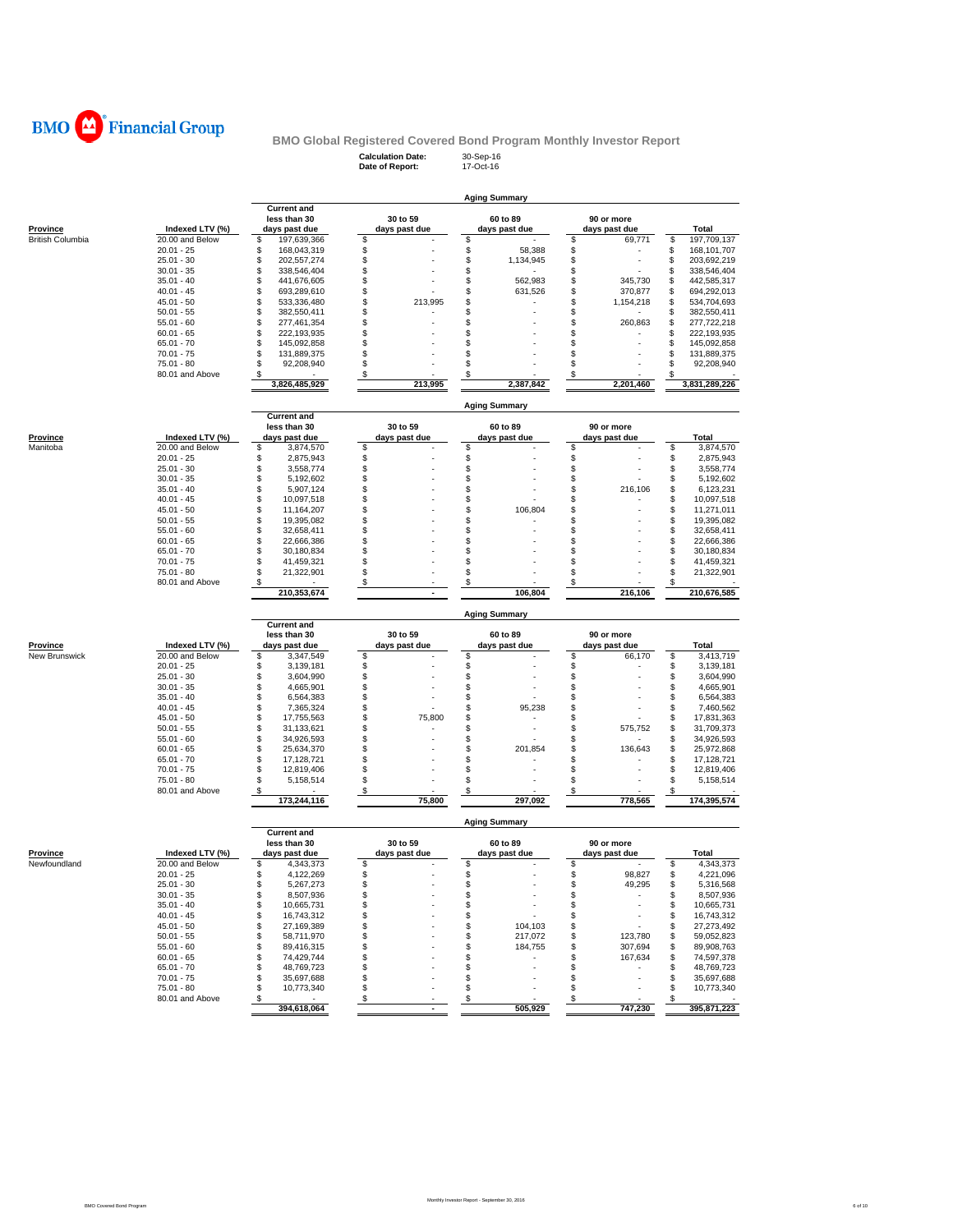

**Calculation Date:** 30-Sep-16 **Date of Report:** 17-Oct-16

|                          |                                    | <b>Aging Summary</b>                |               |                          |                                |                                        |  |  |  |  |  |  |
|--------------------------|------------------------------------|-------------------------------------|---------------|--------------------------|--------------------------------|----------------------------------------|--|--|--|--|--|--|
|                          |                                    | <b>Current and</b><br>less than 30  | 30 to 59      | 60 to 89                 | 90 or more                     |                                        |  |  |  |  |  |  |
| Province                 | Indexed LTV (%)                    | days past due                       | days past due | days past due            | days past due                  | Total                                  |  |  |  |  |  |  |
| <b>British Columbia</b>  | 20.00 and Below                    | \$<br>197,639,366                   | \$            | \$                       | \$<br>69,771                   | \$<br>197,709,137                      |  |  |  |  |  |  |
|                          | $20.01 - 25$                       | \$<br>168,043,319                   | \$            | \$<br>58,388             | \$                             | \$<br>168, 101, 707                    |  |  |  |  |  |  |
|                          | $25.01 - 30$                       | \$<br>202,557,274                   | \$            | \$<br>1,134,945          | \$                             | \$<br>203,692,219                      |  |  |  |  |  |  |
|                          | $30.01 - 35$<br>$35.01 - 40$       | \$<br>338,546,404<br>\$             | \$            | \$<br>\$                 | \$                             | \$<br>338,546,404                      |  |  |  |  |  |  |
|                          | $40.01 - 45$                       | 441,676,605<br>\$<br>693,289,610    | \$<br>\$      | 562,983<br>\$<br>631,526 | \$<br>345,730<br>\$<br>370,877 | \$<br>442,585,317<br>\$<br>694,292,013 |  |  |  |  |  |  |
|                          | $45.01 - 50$                       | \$<br>533,336,480                   | \$<br>213,995 | \$                       | \$<br>1,154,218                | \$<br>534,704,693                      |  |  |  |  |  |  |
|                          | $50.01 - 55$                       | \$<br>382,550,411                   | \$            | \$                       | \$                             | \$<br>382,550,411                      |  |  |  |  |  |  |
|                          | $55.01 - 60$                       | \$<br>277,461,354                   | \$            | \$                       | \$<br>260,863                  | \$<br>277,722,218                      |  |  |  |  |  |  |
|                          | $60.01 - 65$                       | \$<br>222,193,935                   | \$            | \$                       | \$                             | \$<br>222,193,935                      |  |  |  |  |  |  |
|                          | $65.01 - 70$                       | \$<br>145,092,858                   | \$            | S                        | \$                             | \$<br>145,092,858                      |  |  |  |  |  |  |
|                          | $70.01 - 75$                       | \$<br>131,889,375                   | \$            | \$                       | \$                             | \$<br>131,889,375                      |  |  |  |  |  |  |
|                          | 75.01 - 80                         | \$<br>92,208,940                    | \$            | \$                       | \$                             | \$<br>92,208,940                       |  |  |  |  |  |  |
|                          | 80.01 and Above                    | \$<br>3,826,485,929                 | \$<br>213,995 | \$<br>2,387,842          | \$<br>2,201,460                | \$<br>3,831,289,226                    |  |  |  |  |  |  |
|                          |                                    |                                     |               |                          |                                |                                        |  |  |  |  |  |  |
|                          |                                    | <b>Current and</b>                  |               | Aging Summary            |                                |                                        |  |  |  |  |  |  |
|                          |                                    | less than 30                        | 30 to 59      | 60 to 89                 | 90 or more                     |                                        |  |  |  |  |  |  |
| Province                 | Indexed LTV (%)                    | days past due                       | days past due | days past due            | days past due                  | <b>Total</b>                           |  |  |  |  |  |  |
| Manitoba                 | 20.00 and Below                    | \$<br>3,874,570                     | \$            | \$                       | \$                             | \$<br>3,874,570                        |  |  |  |  |  |  |
|                          | $20.01 - 25$                       | \$<br>2,875,943                     | \$            | \$                       | \$                             | \$<br>2,875,943                        |  |  |  |  |  |  |
|                          | $25.01 - 30$                       | \$<br>3,558,774<br>\$               | \$<br>\$      | \$                       | \$<br>\$                       | \$<br>3,558,774                        |  |  |  |  |  |  |
|                          | $30.01 - 35$<br>$35.01 - 40$       | 5,192,602<br>\$<br>5,907,124        | \$            | \$<br>\$                 | \$<br>216,106                  | \$<br>5,192,602<br>\$<br>6,123,231     |  |  |  |  |  |  |
|                          | $40.01 - 45$                       | \$<br>10.097.518                    | \$            | \$                       | \$                             | S<br>10,097,518                        |  |  |  |  |  |  |
|                          | $45.01 - 50$                       | \$<br>11,164,207                    | \$            | 106,804<br>\$            | \$                             | \$<br>11,271,011                       |  |  |  |  |  |  |
|                          | $50.01 - 55$                       | \$<br>19,395,082                    | \$            | \$                       | \$                             | \$<br>19,395,082                       |  |  |  |  |  |  |
|                          | $55.01 - 60$                       | \$<br>32,658,411                    | \$            | \$                       | \$                             | \$<br>32,658,411                       |  |  |  |  |  |  |
|                          | $60.01 - 65$                       | \$<br>22,666,386                    | \$            | \$                       | \$                             | \$<br>22,666,386                       |  |  |  |  |  |  |
|                          | $65.01 - 70$                       | \$<br>30,180,834                    | \$            | \$                       | \$                             | S<br>30,180,834                        |  |  |  |  |  |  |
|                          | $70.01 - 75$                       | \$<br>41,459,321                    | \$            | \$                       | \$                             | \$<br>41,459,321                       |  |  |  |  |  |  |
|                          | 75.01 - 80                         | \$<br>21,322,901                    | \$            | \$                       | \$                             | S<br>21,322,901                        |  |  |  |  |  |  |
|                          | 80.01 and Above                    | \$<br>210,353,674                   | \$<br>$\sim$  | \$<br>106,804            | \$<br>216,106                  | S<br>210,676,585                       |  |  |  |  |  |  |
|                          |                                    |                                     |               |                          |                                |                                        |  |  |  |  |  |  |
|                          |                                    | <b>Current and</b>                  |               | <b>Aging Summary</b>     |                                |                                        |  |  |  |  |  |  |
|                          |                                    | less than 30                        | 30 to 59      | 60 to 89                 | 90 or more                     |                                        |  |  |  |  |  |  |
| <b>Province</b>          |                                    |                                     |               | days past due            | days past due                  | Total                                  |  |  |  |  |  |  |
|                          | Indexed LTV (%)                    | days past due                       | days past due |                          |                                |                                        |  |  |  |  |  |  |
| New Brunswick            | 20.00 and Below                    | \$<br>3,347,549                     | \$            | \$                       | \$<br>66,170                   | \$<br>3,413,719                        |  |  |  |  |  |  |
|                          | $20.01 - 25$                       | \$<br>3,139,181                     | \$            | \$                       | \$                             | \$<br>3,139,181                        |  |  |  |  |  |  |
|                          | $25.01 - 30$                       | \$<br>3,604,990                     | \$            | \$                       | \$                             | \$<br>3,604,990                        |  |  |  |  |  |  |
|                          | $30.01 - 35$                       | \$<br>4,665,901                     | \$            | \$                       | \$                             | S<br>4,665,901                         |  |  |  |  |  |  |
|                          | $35.01 - 40$                       | \$<br>6,564,383                     | \$            | \$                       | \$                             | \$<br>6,564,383                        |  |  |  |  |  |  |
|                          | $40.01 - 45$                       | \$<br>7,365,324                     | \$            | \$<br>95,238             | \$                             | S<br>7,460,562                         |  |  |  |  |  |  |
|                          | $45.01 - 50$                       | \$<br>17,755,563                    | \$<br>75,800  | \$                       | \$                             | \$<br>17,831,363                       |  |  |  |  |  |  |
|                          | $50.01 - 55$                       | \$<br>31,133,621                    | \$            | \$                       | \$<br>575,752                  | 31,709,373<br>\$                       |  |  |  |  |  |  |
|                          | $55.01 - 60$                       | \$<br>34,926,593                    | \$            | \$                       | \$                             | 34,926,593<br>\$                       |  |  |  |  |  |  |
|                          | $60.01 - 65$                       | \$<br>25,634,370                    | \$            | \$<br>201,854            | \$<br>136,643                  | \$<br>25,972,868                       |  |  |  |  |  |  |
|                          | $65.01 - 70$                       | \$<br>17,128,721                    | \$            | \$                       | \$<br>\$                       | \$<br>17,128,721                       |  |  |  |  |  |  |
|                          | $70.01 - 75$<br>$75.01 - 80$       | \$<br>12,819,406<br>\$<br>5,158,514 | \$<br>\$      | \$<br>\$                 | \$                             | \$<br>12,819,406<br>S<br>5,158,514     |  |  |  |  |  |  |
|                          | 80.01 and Above                    | \$<br>173,244,116                   | \$<br>75,800  | \$<br>297.092            | \$<br>778,565                  | 174,395,574                            |  |  |  |  |  |  |
|                          |                                    |                                     |               | <b>Aging Summary</b>     |                                |                                        |  |  |  |  |  |  |
|                          |                                    | <b>Current and</b>                  |               |                          |                                |                                        |  |  |  |  |  |  |
|                          |                                    | less than 30                        | 30 to 59      | 60 to 89                 | 90 or more                     |                                        |  |  |  |  |  |  |
| Province<br>Newfoundland | Indexed LTV (%)<br>20.00 and Below | days past due                       | days past due | days past due            | days past due                  | Total                                  |  |  |  |  |  |  |
|                          | $20.01 - 25$                       | \$<br>4,343,373<br>\$<br>4,122,269  | \$<br>\$      | \$<br>\$                 | \$<br>\$<br>98,827             | \$<br>4,343,373<br>\$<br>4,221,096     |  |  |  |  |  |  |
|                          | $25.01 - 30$                       | \$<br>5,267,273                     | \$            | \$                       | \$                             | \$<br>5,316,568                        |  |  |  |  |  |  |
|                          | $30.01 - 35$                       | \$<br>8,507,936                     | \$            | \$                       | 49,295<br>\$                   | \$<br>8,507,936                        |  |  |  |  |  |  |
|                          | $35.01 - 40$                       | \$<br>10,665,731                    | \$            | \$                       | \$                             | 10,665,731<br>\$                       |  |  |  |  |  |  |
|                          | $40.01 - 45$                       | \$<br>16,743,312                    | \$            | \$                       | \$                             | 16,743,312<br>\$                       |  |  |  |  |  |  |
|                          | $45.01 - 50$                       | \$<br>27,169,389                    | \$            | \$<br>104,103            | \$                             | 27,273,492<br>\$                       |  |  |  |  |  |  |
|                          | $50.01 - 55$                       | \$<br>58,711,970                    | \$            | \$<br>217,072            | \$<br>123,780                  | 59,052,823<br>\$                       |  |  |  |  |  |  |
|                          | $55.01 - 60$                       | \$<br>89,416,315                    | \$            | \$<br>184,755            | \$<br>307,694                  | 89,908,763<br>\$                       |  |  |  |  |  |  |
|                          | $60.01 - 65$                       | \$<br>74,429,744                    | \$            | \$                       | \$<br>167,634                  | \$<br>74,597,378                       |  |  |  |  |  |  |
|                          | $65.01 - 70$                       | \$<br>48,769,723                    | \$            | \$                       | \$                             | 48,769,723<br>\$                       |  |  |  |  |  |  |
|                          | $70.01 - 75$                       | \$<br>35,697,688                    | \$            | \$                       | \$                             | \$<br>35,697,688                       |  |  |  |  |  |  |
|                          | $75.01 - 80$<br>80.01 and Above    | \$<br>10,773,340<br>\$<br>$\sim$    | \$<br>\$      | \$<br>\$                 | \$<br>\$                       | \$<br>10,773,340<br>\$                 |  |  |  |  |  |  |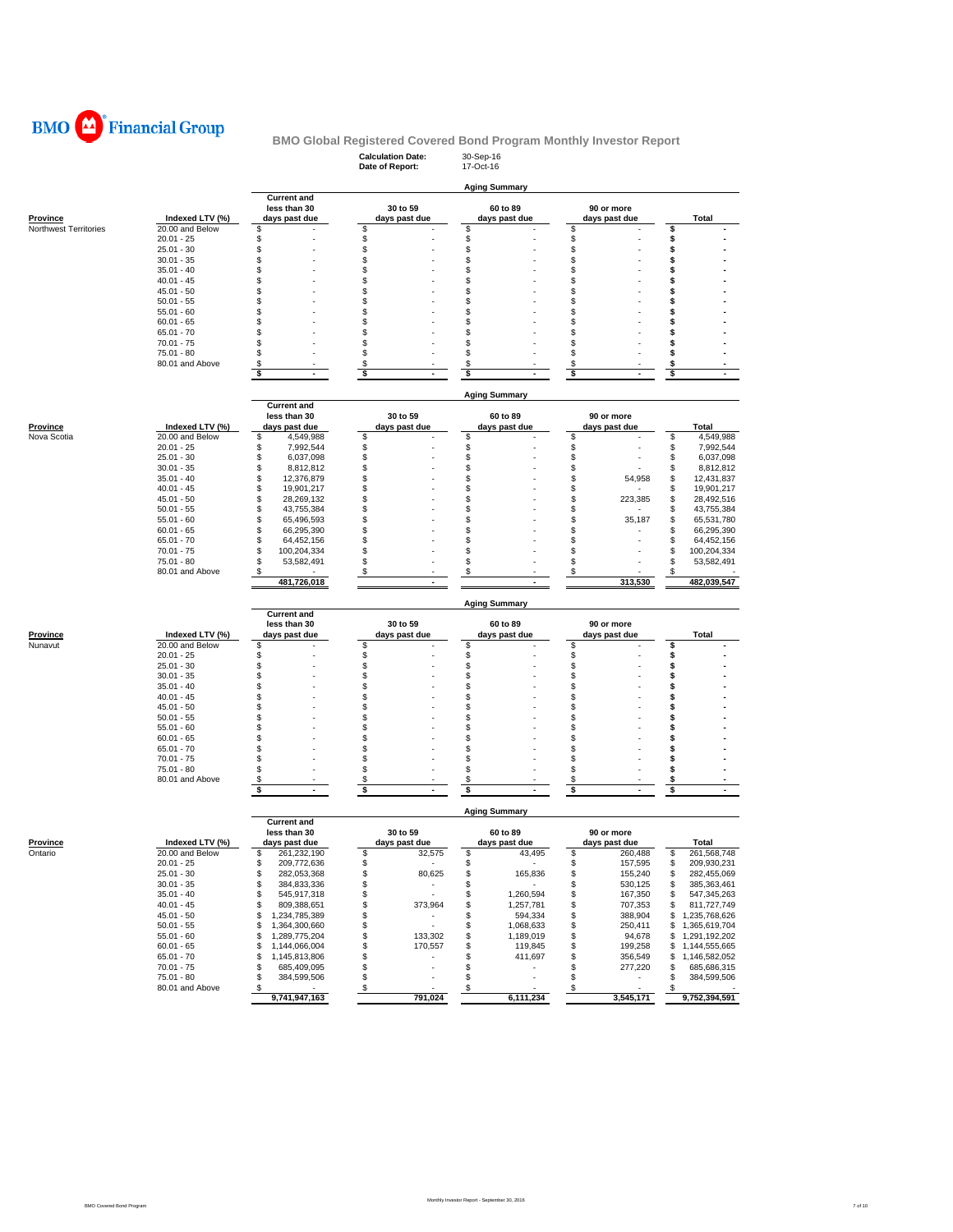

## **Calculation Date:** 30-Sep-16 **BMO Global Registered Covered Bond Program Monthly Investor Report**

|                         |                                    |                                          | Date of Report:                           | 17-Oct-16                              |                                |                                          |
|-------------------------|------------------------------------|------------------------------------------|-------------------------------------------|----------------------------------------|--------------------------------|------------------------------------------|
|                         |                                    |                                          |                                           | <b>Aging Summary</b>                   |                                |                                          |
|                         |                                    | <b>Current and</b>                       |                                           |                                        |                                |                                          |
|                         |                                    | less than 30                             | 30 to 59                                  | 60 to 89                               | 90 or more                     |                                          |
| Province                | Indexed LTV (%)                    | days past due                            | days past due                             | days past due                          | days past due                  | Total                                    |
| Northwest Territories   | 20.00 and Below                    | \$                                       | \$                                        | \$                                     | \$                             | \$                                       |
|                         | $20.01 - 25$<br>$25.01 - 30$       | \$<br>\$                                 | \$<br>\$                                  | \$<br>\$                               | \$<br>\$                       | \$<br>\$                                 |
|                         | $30.01 - 35$                       | \$                                       | \$                                        | \$                                     | \$                             | \$                                       |
|                         | $35.01 - 40$                       | \$                                       | \$                                        | \$                                     | \$                             | \$                                       |
|                         | $40.01 - 45$                       | \$                                       | \$                                        | \$                                     | \$                             | \$                                       |
|                         | $45.01 - 50$                       | \$                                       | \$                                        | S                                      | \$                             | \$                                       |
|                         | $50.01 - 55$                       | \$                                       | \$                                        | \$                                     | \$                             | \$                                       |
|                         | $55.01 - 60$                       | \$                                       | \$                                        | S                                      | \$                             | S                                        |
|                         | $60.01 - 65$                       | \$                                       | \$                                        | \$                                     | \$                             | \$                                       |
|                         | 65.01 - 70                         | \$                                       | \$                                        | \$                                     | \$                             | \$                                       |
|                         | $70.01 - 75$                       | \$                                       | \$                                        | S                                      | \$                             | \$                                       |
|                         | 75.01 - 80<br>80.01 and Above      | \$<br>\$                                 | \$<br>\$                                  | \$<br>\$                               | S<br>\$                        | S<br>\$                                  |
|                         |                                    | \$<br>$\blacksquare$                     | \$<br>$\blacksquare$                      | \$                                     | \$<br>$\blacksquare$           | \$<br>$\sim$                             |
|                         |                                    |                                          |                                           |                                        |                                |                                          |
|                         |                                    |                                          |                                           | <b>Aging Summary</b>                   |                                |                                          |
|                         |                                    | <b>Current and</b>                       |                                           |                                        |                                |                                          |
|                         |                                    | less than 30                             | 30 to 59                                  | 60 to 89                               | 90 or more                     |                                          |
| Province<br>Nova Scotia | Indexed LTV (%)<br>20.00 and Below | days past due<br>\$                      | days past due                             | days past due<br>\$                    | days past due<br>\$            | Total<br>\$<br>4,549,988                 |
|                         | $20.01 - 25$                       | 4,549,988<br>\$<br>7,992,544             | \$<br>\$                                  | \$                                     | \$                             | \$<br>7,992,544                          |
|                         | $25.01 - 30$                       | \$<br>6,037,098                          | \$                                        | \$                                     | \$                             | \$<br>6,037,098                          |
|                         | $30.01 - 35$                       | \$<br>8,812,812                          | \$                                        | S                                      | \$                             | \$<br>8,812,812                          |
|                         | $35.01 - 40$                       | \$<br>12,376,879                         | \$                                        | \$                                     | \$<br>54,958                   | \$<br>12,431,837                         |
|                         | $40.01 - 45$                       | \$<br>19,901,217                         | \$                                        | \$                                     | \$                             | \$<br>19,901,217                         |
|                         | $45.01 - 50$                       | \$<br>28,269,132                         | \$                                        | \$                                     | \$<br>223,385                  | \$<br>28,492,516                         |
|                         | $50.01 - 55$                       | \$<br>43,755,384                         | \$                                        | \$                                     | \$                             | \$<br>43,755,384                         |
|                         | $55.01 - 60$                       | \$<br>65,496,593                         | \$                                        | s                                      | \$<br>35,187                   | \$<br>65,531,780                         |
|                         | $60.01 - 65$                       | \$<br>66,295,390                         | \$                                        | \$                                     | \$                             | \$<br>66,295,390                         |
|                         | $65.01 - 70$                       | \$<br>64,452,156                         | \$                                        | \$                                     | \$                             | \$<br>64,452,156                         |
|                         | $70.01 - 75$                       | \$<br>100,204,334                        | \$                                        | \$                                     | \$                             | \$<br>100,204,334                        |
|                         | 75.01 - 80<br>80.01 and Above      | \$<br>53,582,491                         | \$                                        | \$                                     | \$                             | \$<br>53,582,491                         |
|                         |                                    | \$                                       | \$                                        | \$                                     | \$                             | \$                                       |
|                         |                                    |                                          | $\overline{a}$                            |                                        |                                |                                          |
|                         |                                    | 481,726,018                              |                                           |                                        | 313,530                        | 482,039,547                              |
|                         |                                    |                                          |                                           | <b>Aging Summary</b>                   |                                |                                          |
|                         |                                    | <b>Current and</b>                       |                                           |                                        |                                |                                          |
|                         |                                    | less than 30                             | 30 to 59                                  | 60 to 89                               | 90 or more                     |                                          |
| Province                | Indexed LTV (%)                    | days past due                            | days past due                             | days past due<br>\$                    | days past due                  | Total                                    |
| Nunavut                 | 20.00 and Below<br>$20.01 - 25$    | \$                                       | \$                                        |                                        | \$                             | \$                                       |
|                         | $25.01 - 30$                       | \$<br>\$                                 | \$<br>\$                                  | \$<br>\$                               | \$<br>\$                       | \$<br>\$                                 |
|                         | $30.01 - 35$                       | \$                                       | \$                                        | S                                      | \$                             | \$                                       |
|                         | $35.01 - 40$                       | \$                                       | \$                                        | \$                                     | \$                             | \$                                       |
|                         | $40.01 - 45$                       | \$                                       | \$                                        | S                                      | S                              | S                                        |
|                         | $45.01 - 50$                       | \$                                       | \$                                        | S                                      | S                              | s                                        |
|                         | $50.01 - 55$                       | \$                                       | \$                                        | S                                      | S                              | \$                                       |
|                         | $55.01 - 60$                       | \$                                       | \$                                        | \$                                     | \$                             | \$                                       |
|                         | $60.01 - 65$                       | \$                                       | \$                                        | \$                                     | \$                             | \$                                       |
|                         | $65.01 - 70$                       | \$                                       | \$                                        | \$                                     | \$                             | \$                                       |
|                         | $70.01 - 75$                       | \$                                       | \$                                        | \$                                     | \$                             | \$<br>S                                  |
|                         | 75.01 - 80                         | \$                                       | \$<br>\$                                  | S<br>S                                 | \$                             | S                                        |
|                         | 80.01 and Above                    | \$<br>\$<br>$\mathbf{r}$                 | \$<br>$\overline{a}$                      | \$                                     | \$<br>\$                       | \$                                       |
|                         |                                    |                                          |                                           |                                        |                                |                                          |
|                         |                                    |                                          |                                           | <b>Aging Summary</b>                   |                                |                                          |
|                         |                                    | <b>Current and</b><br>less than 30       | 30 to 59                                  | 60 to 89                               | 90 or more                     |                                          |
| Province                | Indexed LTV (%)                    | days past due                            | days past due                             | days past due                          | days past due                  | Total                                    |
| Ontario                 | 20.00 and Below                    | 261,232,190<br>\$                        | \$<br>32,575                              | \$<br>43,495                           | \$<br>260,488                  | 261,568,748<br>\$                        |
|                         | 20.01 - 25                         | ৬<br>209, 772, 636                       | ৬                                         |                                        | ৬<br>157,595                   | ৬<br>209,930,231                         |
|                         | $25.01 - 30$                       | \$<br>282,053,368                        | \$<br>80,625                              | \$<br>165,836                          | \$<br>155,240                  | \$<br>282,455,069                        |
|                         | $30.01 - 35$                       | \$<br>384,833,336                        | \$<br>$\sim$                              | \$<br>$\sim$ 100 $\mu$                 | 530,125<br>\$                  | \$<br>385,363,461                        |
|                         | $35.01 - 40$                       | 545,917,318<br>\$                        | $\bar{\gamma}$<br>\$                      | 1,260,594<br>\$                        | 167,350<br>\$                  | 547,345,263<br>\$                        |
|                         | $40.01 - 45$                       | \$<br>809,388,651                        | \$<br>373,964                             | 1,257,781<br>\$                        | \$<br>707,353                  | \$<br>811,727,749                        |
|                         | $45.01 - 50$                       | \$<br>1,234,785,389                      | \$<br>$\overline{\phantom{a}}$            | 594,334<br>\$                          | \$<br>388,904                  | \$1,235,768,626                          |
|                         | $50.01 - 55$                       | \$<br>1,364,300,660                      | \$<br>×,                                  | \$<br>1,068,633                        | \$<br>250,411                  | \$1,365,619,704                          |
|                         | $55.01 - 60$                       | 1,289,775,204<br>\$                      | \$<br>133,302                             | 1,189,019<br>\$                        | \$<br>94,678                   | 1,291,192,202<br>\$.                     |
|                         | $60.01 - 65$                       | \$<br>1,144,066,004                      | \$<br>170,557<br>$\overline{\phantom{a}}$ | 119,845<br>\$<br>\$                    | \$<br>199,258                  | 1,144,555,665<br>\$                      |
|                         | $65.01 - 70$<br>$70.01 - 75$       | 1,145,813,806<br>\$<br>685,409,095<br>\$ | \$<br>\$<br>٠                             | 411,697<br>\$<br>٠                     | \$<br>356,549<br>\$<br>277,220 | 1,146,582,052<br>\$<br>685,686,315<br>\$ |
|                         | 75.01 - 80                         | 384,599,506<br>\$                        | \$                                        | \$                                     | \$                             | 384,599,506<br>\$                        |
|                         | 80.01 and Above                    | <u>s</u><br>9,741,947,163                | $\sqrt{3}$<br>791,024                     | $\boldsymbol{\mathsf{S}}$<br>6,111,234 | $\mathfrak s$<br>3,545,171     | 9,752,394,591                            |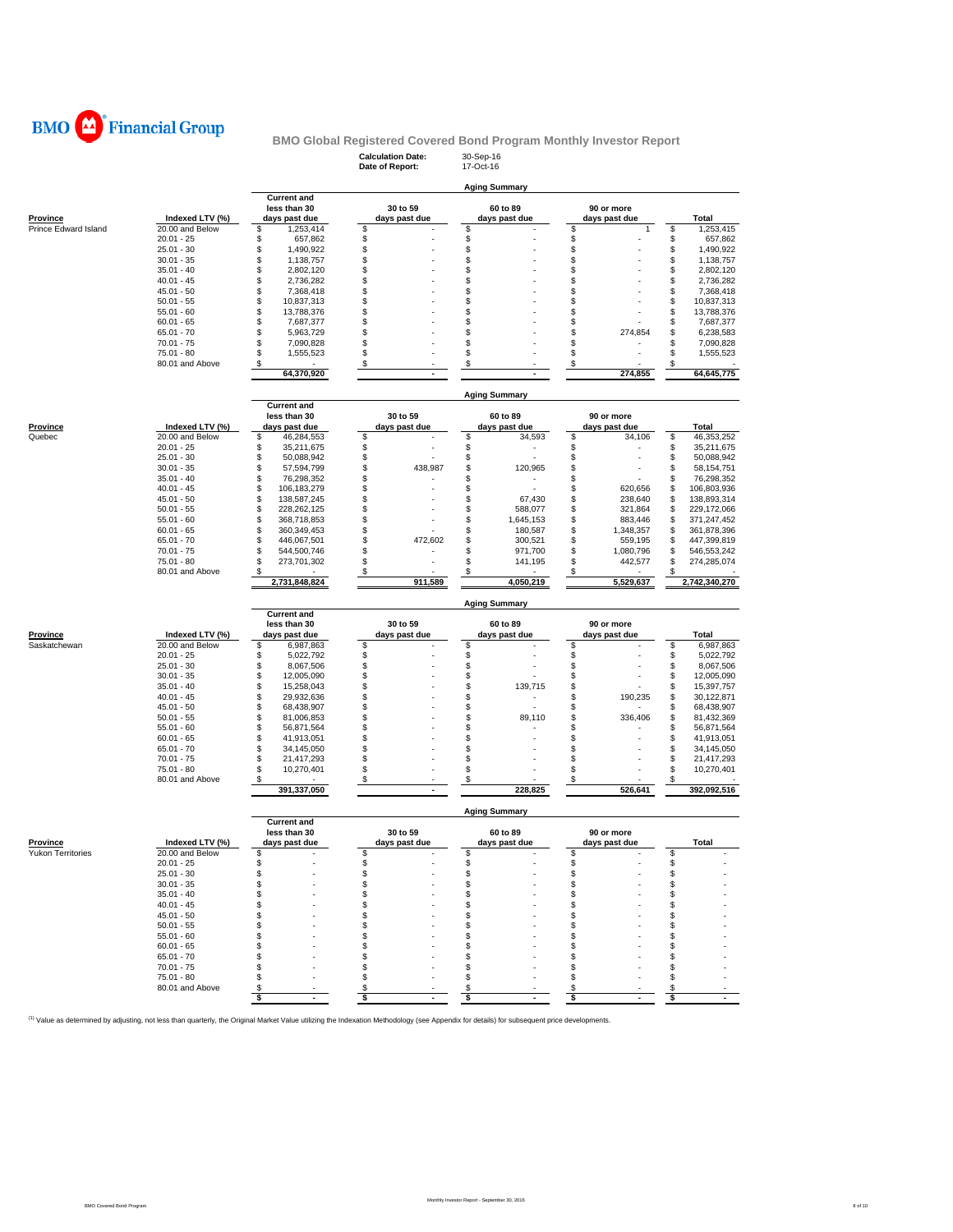

## **Calculation Date:** 30-Sep-16 **BMO Global Registered Covered Bond Program Monthly Investor Report**

|                          |                              |                                      | Date of Report:     | 17-Oct-16            |                     |                                      |
|--------------------------|------------------------------|--------------------------------------|---------------------|----------------------|---------------------|--------------------------------------|
|                          |                              |                                      |                     |                      |                     |                                      |
|                          |                              |                                      |                     | <b>Aging Summary</b> |                     |                                      |
|                          |                              | <b>Current and</b><br>less than 30   | 30 to 59            | 60 to 89             | 90 or more          |                                      |
| <b>Province</b>          | Indexed LTV (%)              | days past due                        | days past due       | days past due        | days past due       | <b>Total</b>                         |
| Prince Edward Island     | 20.00 and Below              | \$<br>1,253,414                      | \$                  | \$                   | S<br>$\mathbf{1}$   | \$<br>1,253,415                      |
|                          | $20.01 - 25$                 | \$<br>657,862                        | \$                  | \$                   | \$                  | \$<br>657,862                        |
|                          | $25.01 - 30$                 | \$<br>1,490,922                      | \$                  | \$                   | \$                  | \$<br>1,490,922                      |
|                          | $30.01 - 35$                 | \$<br>1,138,757                      | \$                  | \$                   | \$                  | \$<br>1,138,757                      |
|                          | $35.01 - 40$                 | \$<br>2,802,120                      | \$                  | \$                   | \$                  | \$<br>2,802,120                      |
|                          | $40.01 - 45$                 | \$<br>2,736,282                      | \$                  | \$                   | \$                  | \$<br>2,736,282                      |
|                          | $45.01 - 50$                 | \$<br>7,368,418                      | \$                  | \$                   | \$                  | \$<br>7,368,418                      |
|                          | $50.01 - 55$                 | \$<br>10,837,313                     | \$<br>\$            | \$<br>\$             | \$<br>\$            | \$<br>10,837,313                     |
|                          | $55.01 - 60$<br>$60.01 - 65$ | \$<br>13,788,376<br>\$<br>7,687,377  | \$                  | \$                   | \$                  | \$<br>13,788,376<br>\$<br>7,687,377  |
|                          | $65.01 - 70$                 | \$<br>5,963,729                      | \$                  | \$                   | \$<br>274,854       | \$<br>6,238,583                      |
|                          | $70.01 - 75$                 | \$<br>7,090,828                      | \$                  | \$                   | \$                  | \$<br>7,090,828                      |
|                          | 75.01 - 80                   | \$<br>1,555,523                      | \$                  | \$                   | \$                  | \$<br>1,555,523                      |
|                          | 80.01 and Above              | \$                                   | \$                  | \$                   | \$                  | \$                                   |
|                          |                              | 64,370,920                           |                     |                      | 274,855             | 64,645,775                           |
|                          |                              |                                      |                     |                      |                     |                                      |
|                          |                              |                                      |                     | <b>Aging Summary</b> |                     |                                      |
|                          |                              | <b>Current and</b>                   |                     |                      |                     |                                      |
|                          |                              | less than 30                         | 30 to 59            | 60 to 89             | 90 or more          |                                      |
| Province                 | Indexed LTV (%)              | days past due                        | days past due       | days past due        | days past due       | Total                                |
| Quebec                   | 20.00 and Below              | \$<br>46,284,553                     | \$                  | \$<br>34,593         | \$<br>34,106        | \$<br>46,353,252                     |
|                          | $20.01 - 25$                 | \$<br>35,211,675                     | \$                  | \$                   | \$                  | \$<br>35,211,675                     |
|                          | $25.01 - 30$<br>$30.01 - 35$ | \$<br>50,088,942<br>\$<br>57,594,799 | \$<br>\$<br>438,987 | \$<br>\$             | \$<br>\$            | \$<br>50,088,942<br>\$               |
|                          | $35.01 - 40$                 | \$<br>76,298,352                     | \$                  | 120,965<br>\$<br>٠   | \$                  | 58, 154, 751<br>\$<br>76,298,352     |
|                          | $40.01 - 45$                 | \$<br>106,183,279                    | \$                  | \$                   | \$<br>620,656       | \$<br>106,803,936                    |
|                          | $45.01 - 50$                 | \$<br>138,587,245                    | \$                  | \$<br>67,430         | 238,640<br>\$       | \$<br>138,893,314                    |
|                          | $50.01 - 55$                 | \$<br>228,262,125                    | \$                  | \$<br>588,077        | \$<br>321,864       | \$<br>229,172,066                    |
|                          | $55.01 - 60$                 | \$<br>368,718,853                    | \$                  | \$<br>1,645,153      | \$<br>883,446       | \$<br>371,247,452                    |
|                          | $60.01 - 65$                 | \$<br>360,349,453                    | \$                  | \$<br>180,587        | \$<br>1,348,357     | \$<br>361,878,396                    |
|                          | $65.01 - 70$                 | \$<br>446,067,501                    | \$<br>472,602       | \$<br>300,521        | \$<br>559,195       | \$<br>447,399,819                    |
|                          | $70.01 - 75$                 | \$<br>544,500,746                    | \$                  | \$<br>971,700        | \$<br>1,080,796     | \$<br>546,553,242                    |
|                          | 75.01 - 80                   | \$<br>273,701,302                    | \$                  | \$<br>141,195        | 442,577<br>\$       | \$<br>274,285,074                    |
|                          | 80.01 and Above              | \$                                   | \$                  | \$                   | \$                  | \$                                   |
|                          |                              | 2,731,848,824                        | 911,589             | 4.050.219            | 5,529,637           | 2,742,340,270                        |
|                          |                              |                                      |                     | <b>Aging Summary</b> |                     |                                      |
|                          |                              | <b>Current and</b>                   |                     |                      |                     |                                      |
|                          |                              |                                      |                     | 60 to 89             | 90 or more          |                                      |
|                          |                              | less than 30                         | 30 to 59            |                      |                     |                                      |
| <b>Province</b>          | Indexed LTV (%)              | days past due                        | days past due       | days past due        | days past due       | <b>Total</b>                         |
| Saskatchewan             | 20.00 and Below              | \$<br>6,987,863                      | \$                  | \$                   | \$                  | 6,987,863<br>\$                      |
|                          | $20.01 - 25$                 | \$<br>5,022,792                      | \$                  | \$                   | \$                  | \$<br>5,022,792                      |
|                          | $25.01 - 30$                 | \$<br>8,067,506                      | \$                  | \$                   | \$                  | \$<br>8,067,506                      |
|                          | $30.01 - 35$                 | \$<br>12,005,090                     | \$                  | \$                   | \$                  | \$<br>12,005,090                     |
|                          | $35.01 - 40$                 | \$<br>15,258,043                     | \$                  | 139,715<br>\$        | \$                  | \$<br>15,397,757                     |
|                          | $40.01 - 45$                 | \$<br>29,932,636                     | \$                  | \$                   | \$<br>190,235       | \$<br>30,122,871                     |
|                          | $45.01 - 50$                 | \$<br>68,438,907                     | \$                  | \$                   | \$                  | \$<br>68,438,907                     |
|                          | $50.01 - 55$<br>$55.01 - 60$ | \$<br>81,006,853<br>\$               | \$<br>\$            | \$<br>89,110<br>\$   | \$<br>336,406<br>\$ | \$<br>81,432,369<br>\$<br>56,871,564 |
|                          | $60.01 - 65$                 | 56,871,564<br>\$<br>41,913,051       | \$                  | \$                   | \$                  | \$<br>41,913,051                     |
|                          | $65.01 - 70$                 | \$<br>34,145,050                     | \$                  | \$                   | \$                  | \$<br>34,145,050                     |
|                          | $70.01 - 75$                 | \$<br>21,417,293                     | \$                  | \$                   | \$                  | \$<br>21,417,293                     |
|                          | 75.01 - 80                   | \$<br>10,270,401                     | \$                  | \$                   | \$                  | \$<br>10,270,401                     |
|                          | 80.01 and Above              | \$                                   | \$                  | \$                   | \$                  | \$                                   |
|                          |                              | 391,337,050                          |                     | 228,825              | 526,641             | 392,092,516                          |
|                          |                              |                                      |                     |                      |                     |                                      |
|                          |                              | <b>Current and</b>                   |                     | <b>Aging Summary</b> |                     |                                      |
|                          |                              | less than 30                         | 30 to 59            | 60 to 89             | 90 or more          |                                      |
| Province                 | Indexed LTV (%)              | days past due                        | days past due       | days past due        | days past due       | Total                                |
| <b>Yukon Territories</b> | 20.00 and Below              | S                                    | \$                  | \$                   | \$                  | \$                                   |
|                          | 20.01 - 25                   | S                                    | \$                  |                      | S                   | \$                                   |
|                          | $25.01 - 30$                 | \$                                   | \$                  | \$                   | \$                  | \$                                   |
|                          | $30.01 - 35$                 | \$                                   | \$                  | \$                   | \$                  | \$                                   |
|                          | $35.01 - 40$                 | \$                                   | \$                  | \$                   | \$                  | \$                                   |
|                          | $40.01 - 45$                 | \$                                   | \$                  | \$<br>\$             | \$                  | \$                                   |
|                          | $45.01 - 50$                 | \$                                   | \$                  | \$                   | \$<br>\$            | \$                                   |
|                          | $50.01 - 55$<br>$55.01 - 60$ | \$<br>\$                             | \$<br>\$            | \$                   | \$                  | \$<br>\$                             |
|                          | $60.01 - 65$                 | \$                                   | \$                  | \$                   | \$                  | \$                                   |
|                          | $65.01 - 70$                 | \$                                   | \$                  | S                    | S                   | \$                                   |
|                          | $70.01 - 75$                 | \$                                   | \$                  | \$                   | \$                  | \$                                   |
|                          | 75.01 - 80                   | \$                                   | \$                  | \$                   | \$                  | \$                                   |
|                          | 80.01 and Above              | \$<br>\$                             | \$<br>\$            | \$<br>\$             | \$<br>\$            | \$<br>\$                             |

<sup>(1)</sup> Value as determined by adjusting, not less than quarterly, the Original Market Value utilizing the Indexation Methodology (see Appendix for details) for subsequent price developments.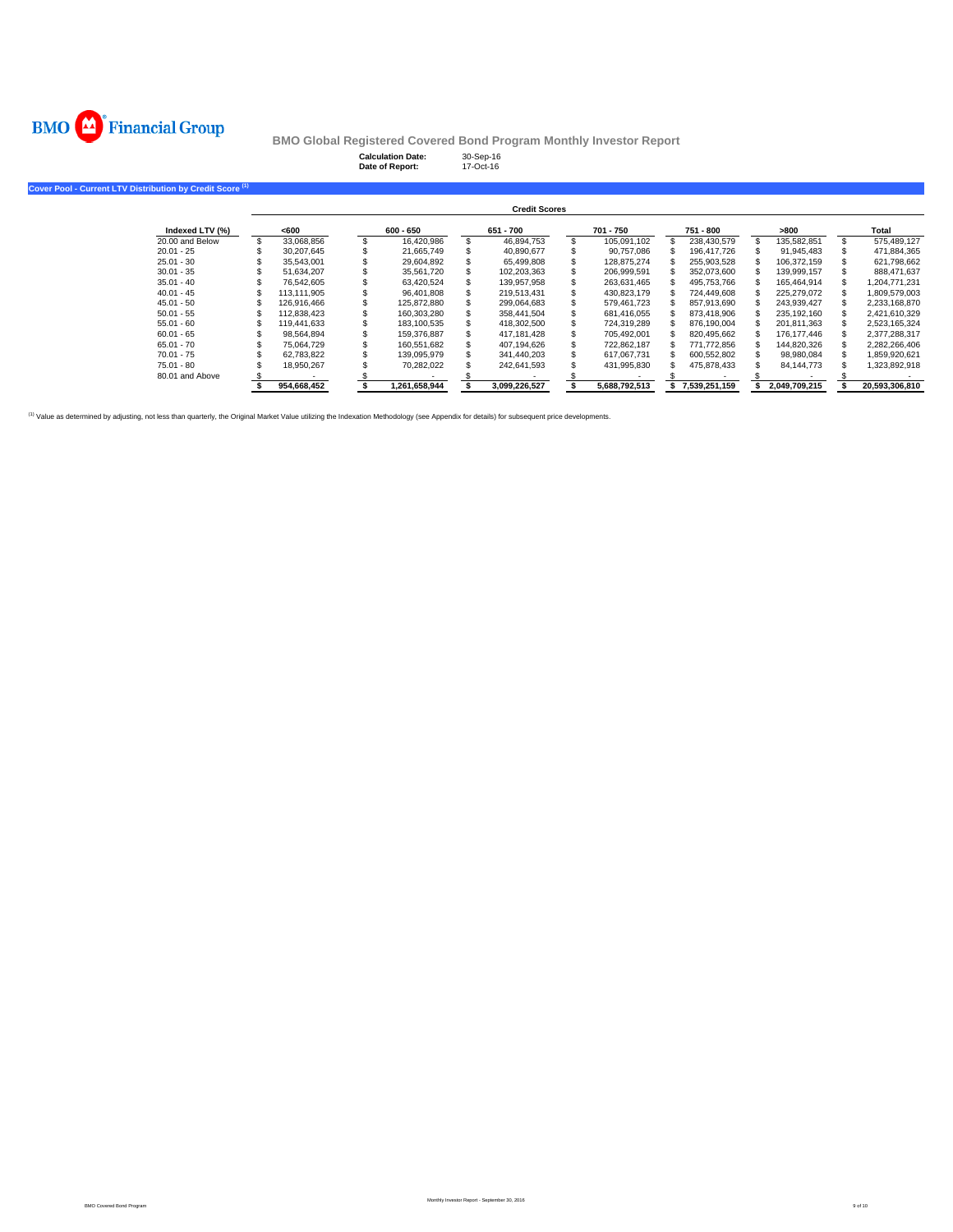

**Calculation Date:** 30-Sep-16 **Date of Report:** 17-Oct-16

| Cover Pool - Current LTV Distribution by Credit Score <sup>(1)</sup> |                 |                      |             |  |               |  |               |  |               |  |               |  |               |                |
|----------------------------------------------------------------------|-----------------|----------------------|-------------|--|---------------|--|---------------|--|---------------|--|---------------|--|---------------|----------------|
|                                                                      |                 | <b>Credit Scores</b> |             |  |               |  |               |  |               |  |               |  |               |                |
|                                                                      | Indexed LTV (%) |                      | <600        |  | 600 - 650     |  | 651 - 700     |  | 701 - 750     |  | 751 - 800     |  | >800          | Total          |
|                                                                      | 20.00 and Below |                      | 33.068.856  |  | 16.420.986    |  | 46,894,753    |  | 105.091.102   |  | 238,430,579   |  | 135,582,851   | 575.489.127    |
|                                                                      | $20.01 - 25$    |                      | 30.207.645  |  | 21.665.749    |  | 40.890.677    |  | 90.757.086    |  | 196.417.726   |  | 91,945,483    | 471,884,365    |
|                                                                      | $25.01 - 30$    |                      | 35,543,001  |  | 29,604,892    |  | 65,499,808    |  | 128.875.274   |  | 255,903,528   |  | 106.372.159   | 621,798,662    |
|                                                                      | $30.01 - 35$    |                      | 51.634.207  |  | 35.561.720    |  | 102,203,363   |  | 206,999,591   |  | 352.073.600   |  | 139.999.157   | 888.471.637    |
|                                                                      | $35.01 - 40$    |                      | 76.542.605  |  | 63,420,524    |  | 139,957,958   |  | 263,631,465   |  | 495.753.766   |  | 165.464.914   | 1,204,771,231  |
|                                                                      | $40.01 - 45$    |                      | 113.111.905 |  | 96.401.808    |  | 219.513.431   |  | 430,823,179   |  | 724.449.608   |  | 225.279.072   | 1,809,579,003  |
|                                                                      | $45.01 - 50$    |                      | 126.916.466 |  | 125,872,880   |  | 299.064.683   |  | 579.461.723   |  | 857.913.690   |  | 243.939.427   | 2.233.168.870  |
|                                                                      | $50.01 - 55$    |                      | 112.838.423 |  | 160.303.280   |  | 358.441.504   |  | 681.416.055   |  | 873.418.906   |  | 235.192.160   | 2.421.610.329  |
|                                                                      | $55.01 - 60$    |                      | 119,441,633 |  | 183,100,535   |  | 418,302,500   |  | 724,319,289   |  | 876,190,004   |  | 201,811,363   | 2,523,165,324  |
|                                                                      | $60.01 - 65$    |                      | 98,564,894  |  | 159.376.887   |  | 417,181,428   |  | 705,492,001   |  | 820,495,662   |  | 176.177.446   | 2,377,288,317  |
|                                                                      | $65.01 - 70$    |                      | 75.064.729  |  | 160.551.682   |  | 407,194,626   |  | 722,862,187   |  | 771,772,856   |  | 144,820,326   | 2,282,266,406  |
|                                                                      | $70.01 - 75$    |                      | 62.783.822  |  | 139.095.979   |  | 341.440.203   |  | 617.067.731   |  | 600.552.802   |  | 98.980.084    | 1,859,920,621  |
|                                                                      | $75.01 - 80$    |                      | 18,950,267  |  | 70,282,022    |  | 242,641,593   |  | 431,995,830   |  | 475,878,433   |  | 84,144,773    | 1,323,892,918  |
|                                                                      | 80.01 and Above |                      |             |  |               |  |               |  |               |  |               |  |               |                |
|                                                                      |                 |                      | 954.668.452 |  | 1.261.658.944 |  | 3.099.226.527 |  | 5.688.792.513 |  | 7,539,251,159 |  | 2.049.709.215 | 20.593.306.810 |

(1) Value as determined by adjusting, not less than quarterly, the Original Market Value utilizing the Indexation Methodology (see Appendix for details) for subsequent price developments.